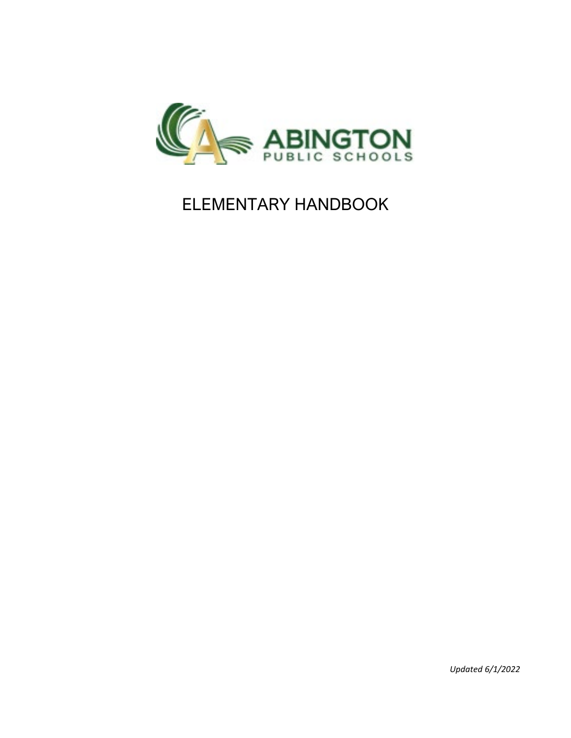

# ELEMENTARY HANDBOOK

*Updated 6/1/2022*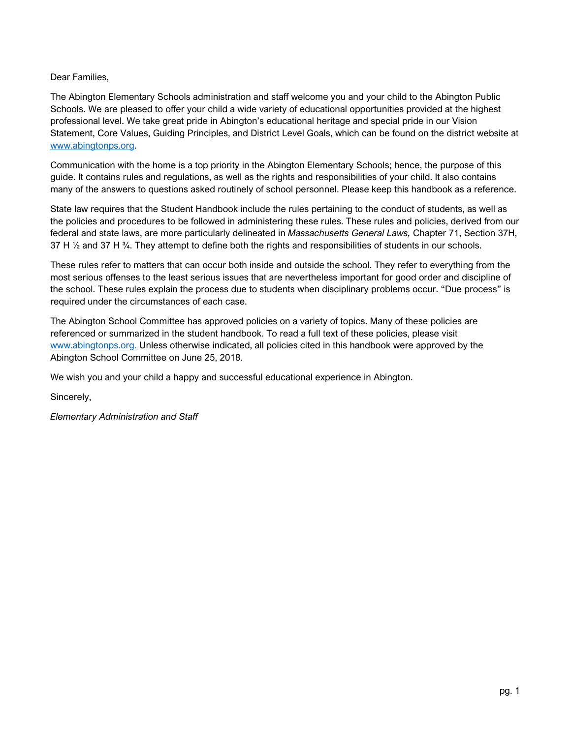Dear Families,

The Abington Elementary Schools administration and staff welcome you and your child to the Abington Public Schools. We are pleased to offer your child a wide variety of educational opportunities provided at the highest professional level. We take great pride in Abington's educational heritage and special pride in our Vision Statement, Core Values, Guiding Principles, and District Level Goals, which can be found on the district website at [www.abingtonps.org.](http://www.abingtonps.org/) 

Communication with the home is a top priority in the Abington Elementary Schools; hence, the purpose of this guide. It contains rules and regulations, as well as the rights and responsibilities of your child. It also contains many of the answers to questions asked routinely of school personnel. Please keep this handbook as a reference.

State law requires that the Student Handbook include the rules pertaining to the conduct of students, as well as the policies and procedures to be followed in administering these rules. These rules and policies, derived from our federal and state laws, are more particularly delineated in *Massachusetts General Laws,* Chapter 71, Section 37H, 37 H  $\frac{1}{2}$  and 37 H  $\frac{3}{4}$ . They attempt to define both the rights and responsibilities of students in our schools.

These rules refer to matters that can occur both inside and outside the school. They refer to everything from the most serious offenses to the least serious issues that are nevertheless important for good order and discipline of the school. These rules explain the process due to students when disciplinary problems occur. "Due process" is required under the circumstances of each case.

The Abington School Committee has approved policies on a variety of topics. Many of these policies are referenced or summarized in the student handbook. To read a full text of these policies, please visit [www.abingtonps.org.](http://www.abingtonps.org/) Unless otherwise indicated, all policies cited in this handbook were approved by the Abington School Committee on June 25, 2018.

We wish you and your child a happy and successful educational experience in Abington.

Sincerely,

*Elementary Administration and Staff*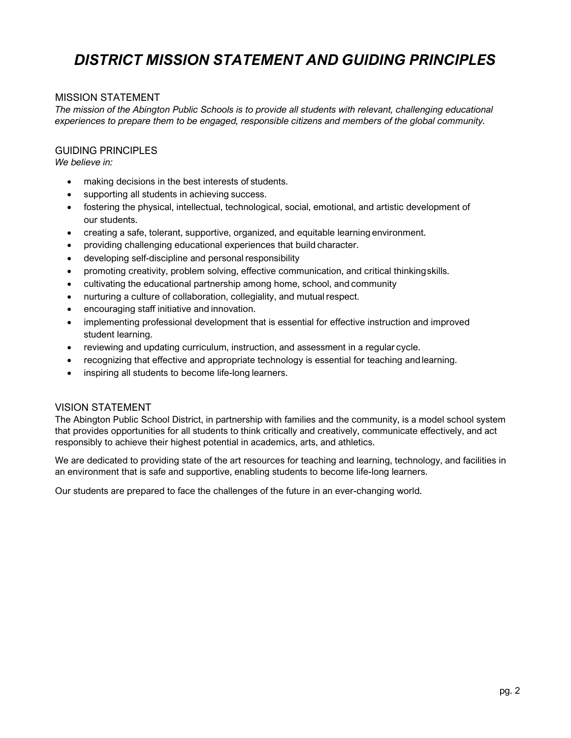# *DISTRICT MISSION STATEMENT AND GUIDING PRINCIPLES*

#### <span id="page-2-0"></span>MISSION STATEMENT

*The mission of the Abington Public Schools is to provide all students with relevant, challenging educational experiences to prepare them to be engaged, responsible citizens and members of the global community.*

#### GUIDING PRINCIPLES

*We believe in:*

- making decisions in the best interests of students.
- supporting all students in achieving success.
- fostering the physical, intellectual, technological, social, emotional, and artistic development of our students.
- creating a safe, tolerant, supportive, organized, and equitable learning environment.
- providing challenging educational experiences that build character.
- developing self-discipline and personal responsibility
- promoting creativity, problem solving, effective communication, and critical thinkingskills.
- cultivating the educational partnership among home, school, and community
- nurturing a culture of collaboration, collegiality, and mutual respect.
- encouraging staff initiative and innovation.
- implementing professional development that is essential for effective instruction and improved student learning.
- reviewing and updating curriculum, instruction, and assessment in a regular cycle.
- recognizing that effective and appropriate technology is essential for teaching andlearning.
- inspiring all students to become life-long learners.

#### VISION STATEMENT

The Abington Public School District, in partnership with families and the community, is a model school system that provides opportunities for all students to think critically and creatively, communicate effectively, and act responsibly to achieve their highest potential in academics, arts, and athletics.

We are dedicated to providing state of the art resources for teaching and learning, technology, and facilities in an environment that is safe and supportive, enabling students to become life-long learners.

Our students are prepared to face the challenges of the future in an ever-changing world.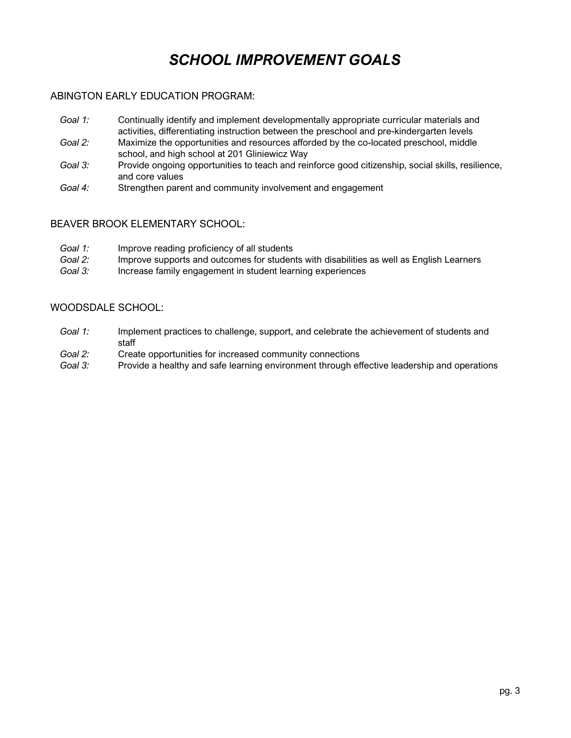# *SCHOOL IMPROVEMENT GOALS*

#### <span id="page-3-0"></span>ABINGTON EARLY EDUCATION PROGRAM:

- *Goal 1:* Continually identify and implement developmentally appropriate curricular materials and activities, differentiating instruction between the preschool and pre-kindergarten levels
- *Goal 2:* Maximize the opportunities and resources afforded by the co-located preschool, middle school, and high school at 201 Gliniewicz Way
- *Goal 3:* Provide ongoing opportunities to teach and reinforce good citizenship, social skills, resilience, and core values
- *Goal 4:* Strengthen parent and community involvement and engagement

#### BEAVER BROOK ELEMENTARY SCHOOL:

- *Goal 1:* Improve reading proficiency of all students
- *Goal 2:* Improve supports and outcomes for students with disabilities as well as English Learners
- *Goal 3:* Increase family engagement in student learning experiences

### WOODSDALE SCHOOL:

- *Goal 1:* Implement practices to challenge, support, and celebrate the achievement of students and staff
- *Goal 2:* Create opportunities for increased community connections
- *Goal 3:* Provide a healthy and safe learning environment through effective leadership and operations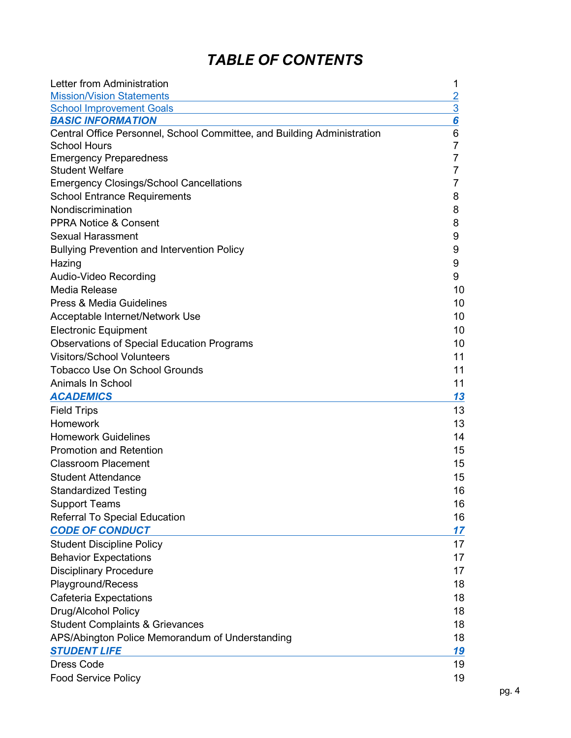# *TABLE OF CONTENTS*

| Letter from Administration                                              | 1              |
|-------------------------------------------------------------------------|----------------|
| <b>Mission/Vision Statements</b>                                        | $\overline{2}$ |
| <b>School Improvement Goals</b>                                         | 3              |
| <b>BASIC INFORMATION</b>                                                | 6              |
| Central Office Personnel, School Committee, and Building Administration | 6              |
| <b>School Hours</b>                                                     | 7              |
| <b>Emergency Preparedness</b>                                           | 7              |
| <b>Student Welfare</b>                                                  | 7              |
| <b>Emergency Closings/School Cancellations</b>                          | 7              |
| <b>School Entrance Requirements</b>                                     | 8              |
| Nondiscrimination                                                       | 8              |
| <b>PPRA Notice &amp; Consent</b>                                        | 8              |
| <b>Sexual Harassment</b>                                                | 9              |
| <b>Bullying Prevention and Intervention Policy</b>                      | 9              |
| Hazing                                                                  | 9              |
| Audio-Video Recording                                                   | 9              |
| Media Release                                                           | 10             |
| <b>Press &amp; Media Guidelines</b>                                     | 10             |
| Acceptable Internet/Network Use                                         | 10             |
| <b>Electronic Equipment</b>                                             | 10             |
| <b>Observations of Special Education Programs</b>                       | 10             |
| <b>Visitors/School Volunteers</b>                                       | 11             |
| <b>Tobacco Use On School Grounds</b>                                    | 11             |
| Animals In School                                                       | 11             |
| <b>ACADEMICS</b>                                                        | 13             |
| <b>Field Trips</b>                                                      | 13             |
| Homework                                                                | 13             |
| <b>Homework Guidelines</b>                                              | 14             |
| <b>Promotion and Retention</b>                                          | 15             |
| <b>Classroom Placement</b>                                              | 15             |
| <b>Student Attendance</b>                                               | 15             |
| <b>Standardized Testing</b>                                             | 16             |
| <b>Support Teams</b>                                                    | 16             |
| Referral To Special Education                                           | 16             |
| <b>CODE OF CONDUCT</b>                                                  | 17             |
| <b>Student Discipline Policy</b>                                        | 17             |
| <b>Behavior Expectations</b>                                            | 17             |
| <b>Disciplinary Procedure</b>                                           | 17             |
| Playground/Recess                                                       | 18             |
| <b>Cafeteria Expectations</b>                                           | 18             |
| Drug/Alcohol Policy                                                     | 18             |
| <b>Student Complaints &amp; Grievances</b>                              | 18             |
| APS/Abington Police Memorandum of Understanding                         | 18             |
| <b>STUDENT LIFE</b>                                                     | <u> 19</u>     |
| <b>Dress Code</b>                                                       | 19             |
| <b>Food Service Policy</b>                                              | 19             |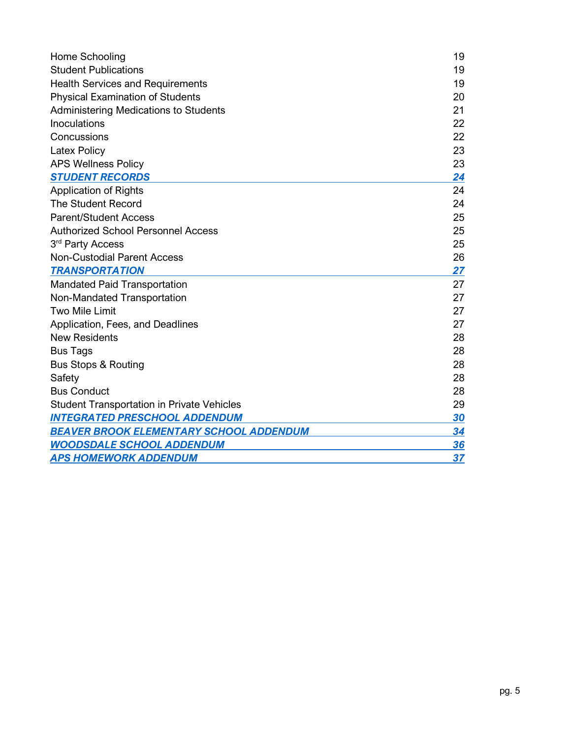| Home Schooling                                    | 19 |
|---------------------------------------------------|----|
| <b>Student Publications</b>                       | 19 |
| <b>Health Services and Requirements</b>           | 19 |
| <b>Physical Examination of Students</b>           | 20 |
| <b>Administering Medications to Students</b>      | 21 |
| Inoculations                                      | 22 |
| Concussions                                       | 22 |
| <b>Latex Policy</b>                               | 23 |
| <b>APS Wellness Policy</b>                        | 23 |
| <b>STUDENT RECORDS</b>                            | 24 |
| <b>Application of Rights</b>                      | 24 |
| <b>The Student Record</b>                         | 24 |
| <b>Parent/Student Access</b>                      | 25 |
| <b>Authorized School Personnel Access</b>         | 25 |
| 3rd Party Access                                  | 25 |
| <b>Non-Custodial Parent Access</b>                | 26 |
| <b>TRANSPORTATION</b>                             | 27 |
| <b>Mandated Paid Transportation</b>               | 27 |
| Non-Mandated Transportation                       | 27 |
| <b>Two Mile Limit</b>                             | 27 |
| Application, Fees, and Deadlines                  | 27 |
| <b>New Residents</b>                              | 28 |
| <b>Bus Tags</b>                                   | 28 |
| <b>Bus Stops &amp; Routing</b>                    | 28 |
| Safety                                            | 28 |
| <b>Bus Conduct</b>                                | 28 |
| <b>Student Transportation in Private Vehicles</b> | 29 |
| <b>INTEGRATED PRESCHOOL ADDENDUM</b>              | 30 |
| BEAVER BROOK ELEMENTARY SCHOOL ADDENDUM           | 34 |
| <b>WOODSDALE SCHOOL ADDENDUM</b>                  | 36 |
| <b>APS HOMEWORK ADDENDUM</b>                      | 37 |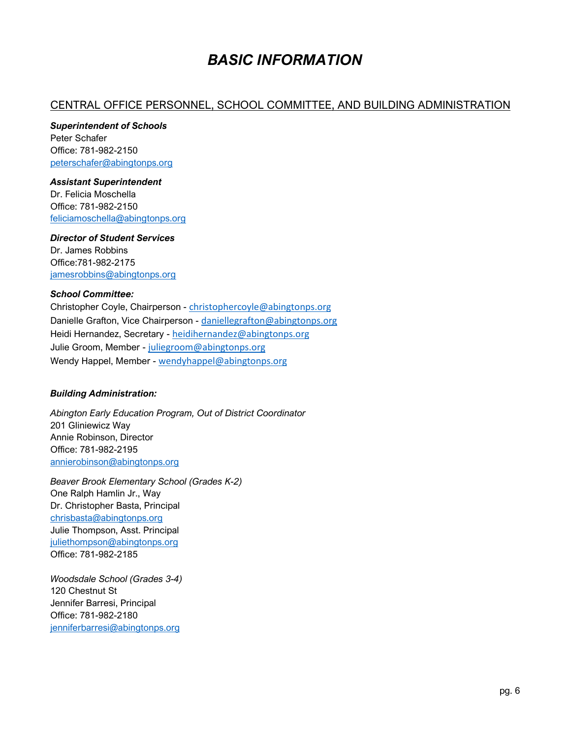# *BASIC INFORMATION*

# <span id="page-6-0"></span>CENTRAL OFFICE PERSONNEL, SCHOOL COMMITTEE, AND BUILDING ADMINISTRATION

*Superintendent of Schools* Peter Schafer Office: 781-982-2150 [peterschafer@abingtonps.org](mailto:peterschafer@abingtonps.org)

#### *Assistant Superintendent*

Dr. Felicia Moschella Office: 781-982-2150 [feliciamoschella@abingtonps.org](mailto:feliciamoschella@abingtonps.org)

*Director of Student Services* Dr. James Robbins Office:781-982-2175 [jamesrobbins@abingtonps.org](mailto:jamesrobbins@abingtonps.org)

#### *School Committee:*

Christopher Coyle, Chairperson - [christophercoyle@abingtonps.org](mailto:christophercoyle@abingtonps.org) Danielle Grafton, Vice Chairperson - [daniellegrafton@abingtonps.org](mailto:daniellegrafton@abingtonps.org) Heidi Hernandez, Secretary - [heidihernandez@abingtonps.org](mailto:heidihernandez@abingtonps.org) Julie Groom, Member - [juliegroom@abingtonps.org](mailto:juliegroom@abingtonps.org) Wendy Happel, Member - [wendyhappel@abingtonps.org](mailto:wendyhappel@abingtonps.org)

#### *Building Administration:*

*Abington Early Education Program, Out of District Coordinator* 201 Gliniewicz Way Annie Robinson, Director Office: 781-982-2195 [annierobinson@abingtonps.org](mailto:loramonachino@abingtonps.org) 

*Beaver Brook Elementary School (Grades K-2)* One Ralph Hamlin Jr., Way Dr. Christopher Basta, Principal [chrisbasta@abingtonps.org](mailto:chrisbasta@abingtonps.org) Julie Thompson, Asst. Principal [juliethompson@abingtonps.org](mailto:juliethompson@abingtonps.org) Office: 781-982-2185

*Woodsdale School (Grades 3-4)* 120 Chestnut St Jennifer Barresi, Principal Office: 781-982-2180 [jenniferbarresi@abingtonps.org](mailto:jenniferbarresi@abingtonps.org)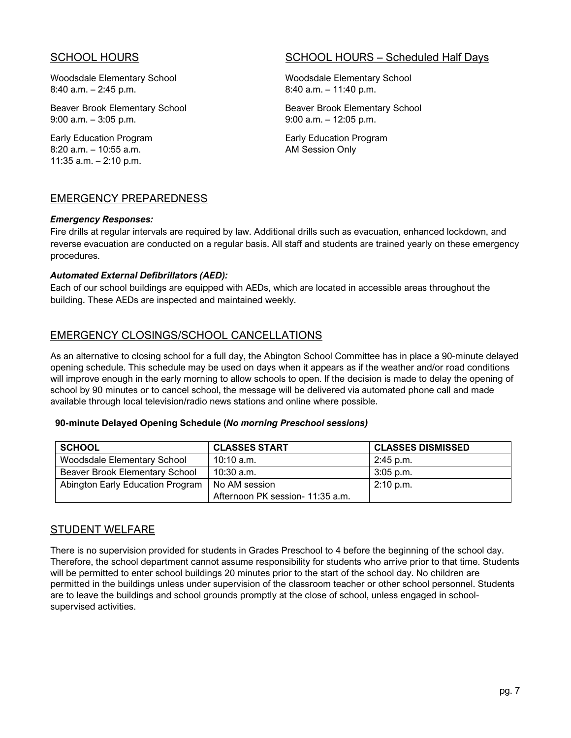Woodsdale Elementary School Woodsdale Elementary School Woodsdale Elementary School 8:40 a.m. – 2:45 p.m. 6:40 a.m. – 11:40 p.m.

Beaver Brook Elementary School **Beaver Brook Elementary School** Beaver Brook Elementary School 9:00 a.m. – 3:05 p.m. 9:00 a.m. – 12:05 p.m.

8:20 a.m. – 10:55 a.m. **AM Session Only** 11:35 a.m. – 2:10 p.m.

# SCHOOL HOURS **SCHOOL HOURS** SCHOOL HOURS – Scheduled Half Days

Early Education Program Early Education Program

### EMERGENCY PREPAREDNESS

#### *Emergency Responses:*

Fire drills at regular intervals are required by law. Additional drills such as evacuation, enhanced lockdown, and reverse evacuation are conducted on a regular basis. All staff and students are trained yearly on these emergency procedures.

#### *Automated External Defibrillators (AED):*

Each of our school buildings are equipped with AEDs, which are located in accessible areas throughout the building. These AEDs are inspected and maintained weekly.

# EMERGENCY CLOSINGS/SCHOOL CANCELLATIONS

As an alternative to closing school for a full day, the Abington School Committee has in place a 90-minute delayed opening schedule. This schedule may be used on days when it appears as if the weather and/or road conditions will improve enough in the early morning to allow schools to open. If the decision is made to delay the opening of school by 90 minutes or to cancel school, the message will be delivered via automated phone call and made available through local television/radio news stations and online where possible.

#### **90-minute Delayed Opening Schedule (***No morning Preschool sessions)*

| <b>SCHOOL</b>                    | <b>CLASSES START</b>             | <b>CLASSES DISMISSED</b> |
|----------------------------------|----------------------------------|--------------------------|
| Woodsdale Elementary School      | 10:10 a.m.                       | $2:45$ p.m.              |
| Beaver Brook Elementary School   | 10:30 a.m.                       | $3:05$ p.m.              |
| Abington Early Education Program | No AM session                    | $2:10$ p.m.              |
|                                  | Afternoon PK session- 11:35 a.m. |                          |

### STUDENT WELFARE

There is no supervision provided for students in Grades Preschool to 4 before the beginning of the school day. Therefore, the school department cannot assume responsibility for students who arrive prior to that time. Students will be permitted to enter school buildings 20 minutes prior to the start of the school day. No children are permitted in the buildings unless under supervision of the classroom teacher or other school personnel. Students are to leave the buildings and school grounds promptly at the close of school, unless engaged in schoolsupervised activities.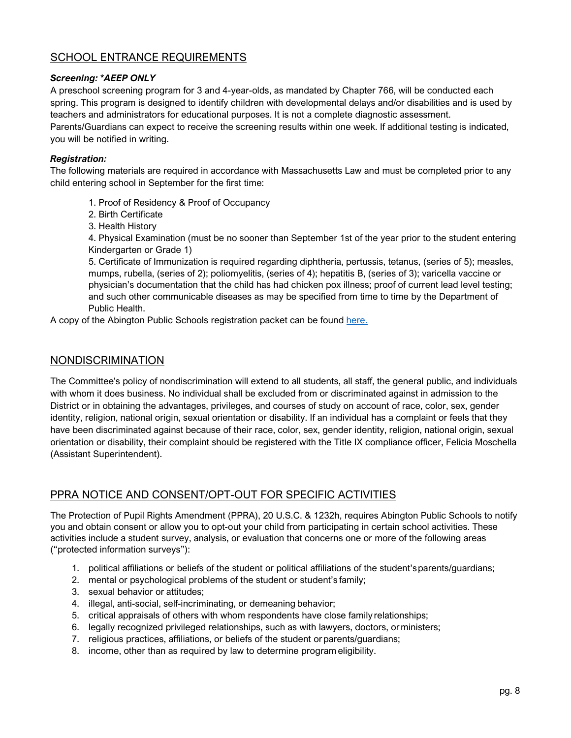# SCHOOL ENTRANCE REQUIREMENTS

#### *Screening: \*AEEP ONLY*

A preschool screening program for 3 and 4-year-olds, as mandated by Chapter 766, will be conducted each spring. This program is designed to identify children with developmental delays and/or disabilities and is used by teachers and administrators for educational purposes. It is not a complete diagnostic assessment. Parents/Guardians can expect to receive the screening results within one week. If additional testing is indicated, you will be notified in writing.

#### *Registration:*

The following materials are required in accordance with Massachusetts Law and must be completed prior to any child entering school in September for the first time:

- 1. Proof of Residency & Proof of Occupancy
- 2. Birth Certificate
- 3. Health History

4. Physical Examination (must be no sooner than September 1st of the year prior to the student entering Kindergarten or Grade 1)

5. Certificate of Immunization is required regarding diphtheria, pertussis, tetanus, (series of 5); measles, mumps, rubella, (series of 2); poliomyelitis, (series of 4); hepatitis B, (series of 3); varicella vaccine or physician's documentation that the child has had chicken pox illness; proof of current lead level testing; and such other communicable diseases as may be specified from time to time by the Department of Public Health.

A copy of the Abington Public Schools registration packet can be found [here.](https://abingtonps.org/District%202019-2020/APS%20STUDENT%20REGISTRATION%20and%20Immunization%20Requirements%20OCTOBER%202019.pdf)

### NONDISCRIMINATION

The Committee's policy of nondiscrimination will extend to all students, all staff, the general public, and individuals with whom it does business. No individual shall be excluded from or discriminated against in admission to the District or in obtaining the advantages, privileges, and courses of study on account of race, color, sex, gender identity, religion, national origin, sexual orientation or disability. If an individual has a complaint or feels that they have been discriminated against because of their race, color, sex, gender identity, religion, national origin, sexual orientation or disability, their complaint should be registered with the Title IX compliance officer, Felicia Moschella (Assistant Superintendent).

# PPRA NOTICE AND CONSENT/OPT-OUT FOR SPECIFIC ACTIVITIES

The Protection of Pupil Rights Amendment (PPRA), 20 U.S.C. & 1232h, requires Abington Public Schools to notify you and obtain consent or allow you to opt-out your child from participating in certain school activities. These activities include a student survey, analysis, or evaluation that concerns one or more of the following areas ("protected information surveys"):

- 1. political affiliations or beliefs of the student or political affiliations of the student'sparents/guardians;
- 2. mental or psychological problems of the student or student's family;
- 3. sexual behavior or attitudes;
- 4. illegal, anti-social, self-incriminating, or demeaning behavior;
- 5. critical appraisals of others with whom respondents have close family relationships;
- 6. legally recognized privileged relationships, such as with lawyers, doctors, orministers;
- 7. religious practices, affiliations, or beliefs of the student orparents/guardians;
- 8. income, other than as required by law to determine program eligibility.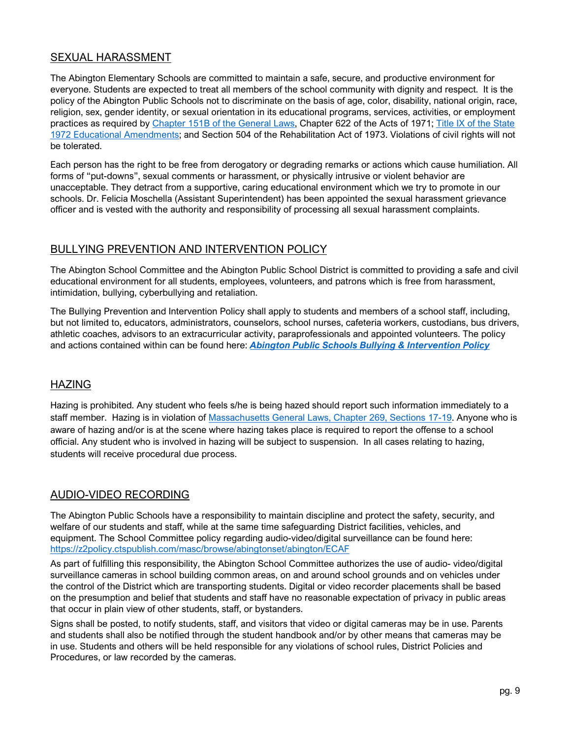# SEXUAL HARASSMENT

The Abington Elementary Schools are committed to maintain a safe, secure, and productive environment for everyone. Students are expected to treat all members of the school community with dignity and respect. It is the policy of the Abington Public Schools not to discriminate on the basis of age, color, disability, national origin, race, religion, sex, gender identity, or sexual orientation in its educational programs, services, activities, or employment practices as required by [Chapter 151B of the General Laws,](https://malegislature.gov/Laws/GeneralLaws/PartI/TitleXXI/chapter151B) Chapter 622 of the Acts of 1971; [Title IX of the State](https://www.justice.gov/crt/overview-title-ix-education-amendments-1972-20-usc-1681-et-seq)  [1972 Educational Amendments;](https://www.justice.gov/crt/overview-title-ix-education-amendments-1972-20-usc-1681-et-seq) and Section 504 of the Rehabilitation Act of 1973. Violations of civil rights will not be tolerated.

Each person has the right to be free from derogatory or degrading remarks or actions which cause humiliation. All forms of "put-downs", sexual comments or harassment, or physically intrusive or violent behavior are unacceptable. They detract from a supportive, caring educational environment which we try to promote in our schools. Dr. Felicia Moschella (Assistant Superintendent) has been appointed the sexual harassment grievance officer and is vested with the authority and responsibility of processing all sexual harassment complaints.

# BULLYING PREVENTION AND INTERVENTION POLICY

The Abington School Committee and the Abington Public School District is committed to providing a safe and civil educational environment for all students, employees, volunteers, and patrons which is free from harassment, intimidation, bullying, cyberbullying and retaliation.

The Bullying Prevention and Intervention Policy shall apply to students and members of a school staff, including, but not limited to, educators, administrators, counselors, school nurses, cafeteria workers, custodians, bus drivers, athletic coaches, advisors to an extracurricular activity, paraprofessionals and appointed volunteers. The policy and actions contained within can be found here: *[Abington Public Schools Bullying & Intervention Policy](https://z2policy.ctspublish.com/masc/browse/abingtonset/abington/JICFB)*

# HAZING

Hazing is prohibited. Any student who feels s/he is being hazed should report such information immediately to a staff member. Hazing is in violation of [Massachusetts General Laws, Chapter 269, Sections 17-19.](http://www.doe.mass.edu/psm/anti-hazing/) Anyone who is aware of hazing and/or is at the scene where hazing takes place is required to report the offense to a school official. Any student who is involved in hazing will be subject to suspension. In all cases relating to hazing, students will receive procedural due process.

# AUDIO-VIDEO RECORDING

The Abington Public Schools have a responsibility to maintain discipline and protect the safety, security, and welfare of our students and staff, while at the same time safeguarding District facilities, vehicles, and equipment. The School Committee policy regarding audio-video/digital surveillance can be found here: <https://z2policy.ctspublish.com/masc/browse/abingtonset/abington/ECAF>

As part of fulfilling this responsibility, the Abington School Committee authorizes the use of audio- video/digital surveillance cameras in school building common areas, on and around school grounds and on vehicles under the control of the District which are transporting students. Digital or video recorder placements shall be based on the presumption and belief that students and staff have no reasonable expectation of privacy in public areas that occur in plain view of other students, staff, or bystanders.

Signs shall be posted, to notify students, staff, and visitors that video or digital cameras may be in use. Parents and students shall also be notified through the student handbook and/or by other means that cameras may be in use. Students and others will be held responsible for any violations of school rules, District Policies and Procedures, or law recorded by the cameras.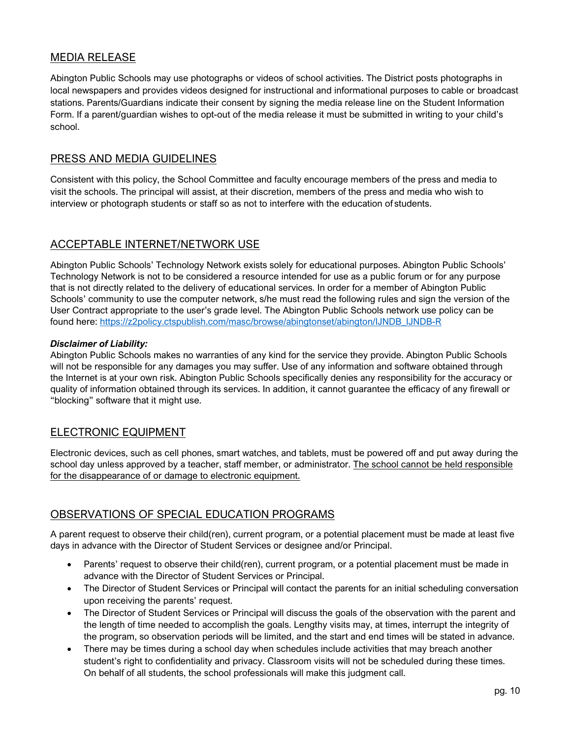# MEDIA RELEASE

Abington Public Schools may use photographs or videos of school activities. The District posts photographs in local newspapers and provides videos designed for instructional and informational purposes to cable or broadcast stations. Parents/Guardians indicate their consent by signing the media release line on the Student Information Form. If a parent/guardian wishes to opt-out of the media release it must be submitted in writing to your child's school.

### PRESS AND MEDIA GUIDELINES

Consistent with this policy, the School Committee and faculty encourage members of the press and media to visit the schools. The principal will assist, at their discretion, members of the press and media who wish to interview or photograph students or staff so as not to interfere with the education of students.

### ACCEPTABLE INTERNET/NETWORK USE

Abington Public Schools' Technology Network exists solely for educational purposes. Abington Public Schools' Technology Network is not to be considered a resource intended for use as a public forum or for any purpose that is not directly related to the delivery of educational services. In order for a member of Abington Public Schools' community to use the computer network, s/he must read the following rules and sign the version of the User Contract appropriate to the user's grade level. The Abington Public Schools network use policy can be found here: [https://z2policy.ctspublish.com/masc/browse/abingtonset/abington/IJNDB\\_IJNDB-R](https://z2policy.ctspublish.com/masc/browse/abingtonset/abington/IJNDB_IJNDB-R)

#### *Disclaimer of Liability:*

Abington Public Schools makes no warranties of any kind for the service they provide. Abington Public Schools will not be responsible for any damages you may suffer. Use of any information and software obtained through the Internet is at your own risk. Abington Public Schools specifically denies any responsibility for the accuracy or quality of information obtained through its services. In addition, it cannot guarantee the efficacy of any firewall or "blocking" software that it might use.

# ELECTRONIC EQUIPMENT

Electronic devices, such as cell phones, smart watches, and tablets, must be powered off and put away during the school day unless approved by a teacher, staff member, or administrator. The school cannot be held responsible for the disappearance of or damage to electronic equipment.

# OBSERVATIONS OF SPECIAL EDUCATION PROGRAMS

A parent request to observe their child(ren), current program, or a potential placement must be made at least five days in advance with the Director of Student Services or designee and/or Principal.

- Parents' request to observe their child(ren), current program, or a potential placement must be made in advance with the Director of Student Services or Principal.
- The Director of Student Services or Principal will contact the parents for an initial scheduling conversation upon receiving the parents' request.
- The Director of Student Services or Principal will discuss the goals of the observation with the parent and the length of time needed to accomplish the goals. Lengthy visits may, at times, interrupt the integrity of the program, so observation periods will be limited, and the start and end times will be stated in advance.
- There may be times during a school day when schedules include activities that may breach another student's right to confidentiality and privacy. Classroom visits will not be scheduled during these times. On behalf of all students, the school professionals will make this judgment call.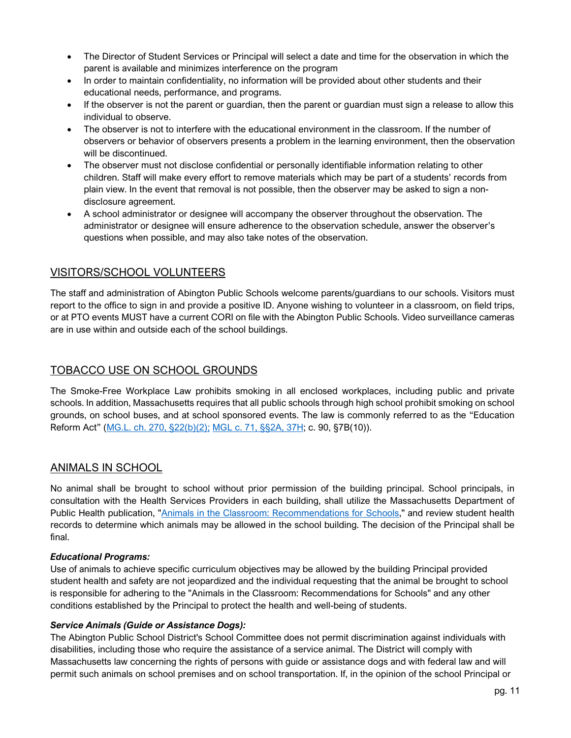- The Director of Student Services or Principal will select a date and time for the observation in which the parent is available and minimizes interference on the program
- In order to maintain confidentiality, no information will be provided about other students and their educational needs, performance, and programs.
- If the observer is not the parent or guardian, then the parent or guardian must sign a release to allow this individual to observe.
- The observer is not to interfere with the educational environment in the classroom. If the number of observers or behavior of observers presents a problem in the learning environment, then the observation will be discontinued.
- The observer must not disclose confidential or personally identifiable information relating to other children. Staff will make every effort to remove materials which may be part of a students' records from plain view. In the event that removal is not possible, then the observer may be asked to sign a nondisclosure agreement.
- A school administrator or designee will accompany the observer throughout the observation. The administrator or designee will ensure adherence to the observation schedule, answer the observer's questions when possible, and may also take notes of the observation.

# VISITORS/SCHOOL VOLUNTEERS

The staff and administration of Abington Public Schools welcome parents/guardians to our schools. Visitors must report to the office to sign in and provide a positive ID. Anyone wishing to volunteer in a classroom, on field trips, or at PTO events MUST have a current CORI on file with the Abington Public Schools. Video surveillance cameras are in use within and outside each of the school buildings.

# TOBACCO USE ON SCHOOL GROUNDS

The Smoke-Free Workplace Law prohibits smoking in all enclosed workplaces, including public and private schools. In addition, Massachusetts requires that all public schools through high school prohibit smoking on school grounds, on school buses, and at school sponsored events. The law is commonly referred to as the "Education Reform Act" [\(MG.L. ch. 270, §22\(b\)\(2\);](https://malegislature.gov/Laws/GeneralLaws/PartIV/TitleI/Chapter270/Section22) [MGL c. 71, §§2A, 37H;](https://malegislature.gov/laws/generallaws/parti/titlexii/chapter71/section37h) c. 90, §7B(10)).

# ANIMALS IN SCHOOL

No animal shall be brought to school without prior permission of the building principal. School principals, in consultation with the Health Services Providers in each building, shall utilize the Massachusetts Department of Public Health publication, ["Animals in the Classroom: Recommendations for Schools,](https://www.mass.gov/doc/rabies-prtcl-schoolpdf/download)" and review student health records to determine which animals may be allowed in the school building. The decision of the Principal shall be final.

#### *Educational Programs:*

Use of animals to achieve specific curriculum objectives may be allowed by the building Principal provided student health and safety are not jeopardized and the individual requesting that the animal be brought to school is responsible for adhering to the "Animals in the Classroom: Recommendations for Schools" and any other conditions established by the Principal to protect the health and well-being of students.

#### *Service Animals (Guide or Assistance Dogs):*

The Abington Public School District's School Committee does not permit discrimination against individuals with disabilities, including those who require the assistance of a service animal. The District will comply with Massachusetts law concerning the rights of persons with guide or assistance dogs and with federal law and will permit such animals on school premises and on school transportation. If, in the opinion of the school Principal or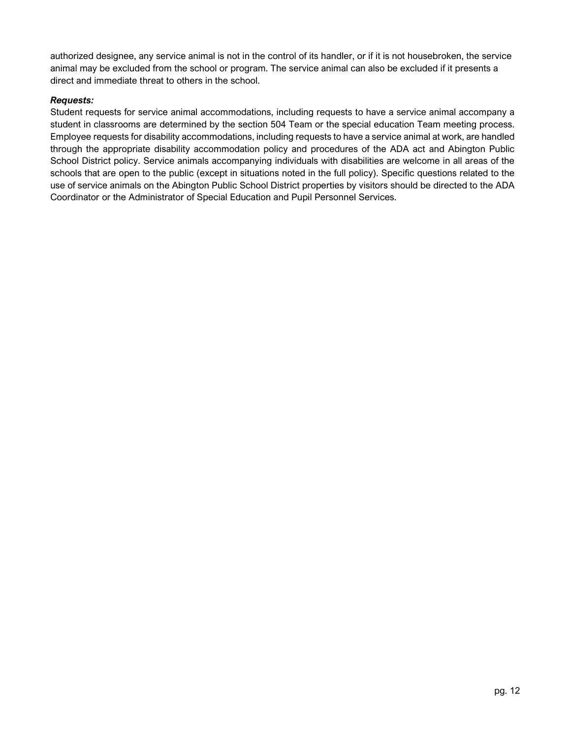authorized designee, any service animal is not in the control of its handler, or if it is not housebroken, the service animal may be excluded from the school or program. The service animal can also be excluded if it presents a direct and immediate threat to others in the school.

#### *Requests:*

Student requests for service animal accommodations, including requests to have a service animal accompany a student in classrooms are determined by the section 504 Team or the special education Team meeting process. Employee requests for disability accommodations, including requests to have a service animal at work, are handled through the appropriate disability accommodation policy and procedures of the ADA act and Abington Public School District policy. Service animals accompanying individuals with disabilities are welcome in all areas of the schools that are open to the public (except in situations noted in the full policy). Specific questions related to the use of service animals on the Abington Public School District properties by visitors should be directed to the ADA Coordinator or the Administrator of Special Education and Pupil Personnel Services.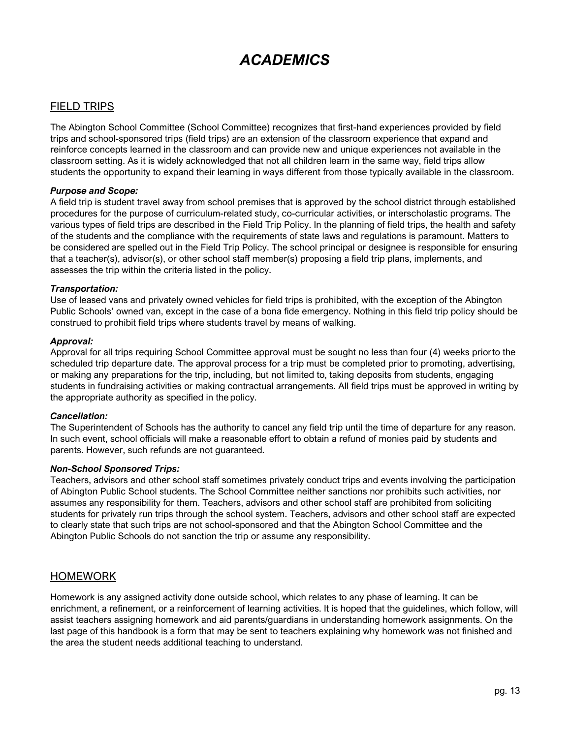# *ACADEMICS*

# <span id="page-13-0"></span>FIELD TRIPS

The Abington School Committee (School Committee) recognizes that first-hand experiences provided by field trips and school-sponsored trips (field trips) are an extension of the classroom experience that expand and reinforce concepts learned in the classroom and can provide new and unique experiences not available in the classroom setting. As it is widely acknowledged that not all children learn in the same way, field trips allow students the opportunity to expand their learning in ways different from those typically available in the classroom.

#### *Purpose and Scope:*

A field trip is student travel away from school premises that is approved by the school district through established procedures for the purpose of curriculum-related study, co-curricular activities, or interscholastic programs. The various types of field trips are described in the Field Trip Policy. In the planning of field trips, the health and safety of the students and the compliance with the requirements of state laws and regulations is paramount. Matters to be considered are spelled out in the Field Trip Policy. The school principal or designee is responsible for ensuring that a teacher(s), advisor(s), or other school staff member(s) proposing a field trip plans, implements, and assesses the trip within the criteria listed in the policy.

#### *Transportation:*

Use of leased vans and privately owned vehicles for field trips is prohibited, with the exception of the Abington Public Schools' owned van, except in the case of a bona fide emergency. Nothing in this field trip policy should be construed to prohibit field trips where students travel by means of walking.

#### *Approval:*

Approval for all trips requiring School Committee approval must be sought no less than four (4) weeks priorto the scheduled trip departure date. The approval process for a trip must be completed prior to promoting, advertising, or making any preparations for the trip, including, but not limited to, taking deposits from students, engaging students in fundraising activities or making contractual arrangements. All field trips must be approved in writing by the appropriate authority as specified in the policy.

#### *Cancellation:*

The Superintendent of Schools has the authority to cancel any field trip until the time of departure for any reason. In such event, school officials will make a reasonable effort to obtain a refund of monies paid by students and parents. However, such refunds are not guaranteed.

#### *Non-School Sponsored Trips:*

Teachers, advisors and other school staff sometimes privately conduct trips and events involving the participation of Abington Public School students. The School Committee neither sanctions nor prohibits such activities, nor assumes any responsibility for them. Teachers, advisors and other school staff are prohibited from soliciting students for privately run trips through the school system. Teachers, advisors and other school staff are expected to clearly state that such trips are not school-sponsored and that the Abington School Committee and the Abington Public Schools do not sanction the trip or assume any responsibility.

#### HOMEWORK

Homework is any assigned activity done outside school, which relates to any phase of learning. It can be enrichment, a refinement, or a reinforcement of learning activities. It is hoped that the guidelines, which follow, will assist teachers assigning homework and aid parents/guardians in understanding homework assignments. On the last page of this handbook is a form that may be sent to teachers explaining why homework was not finished and the area the student needs additional teaching to understand.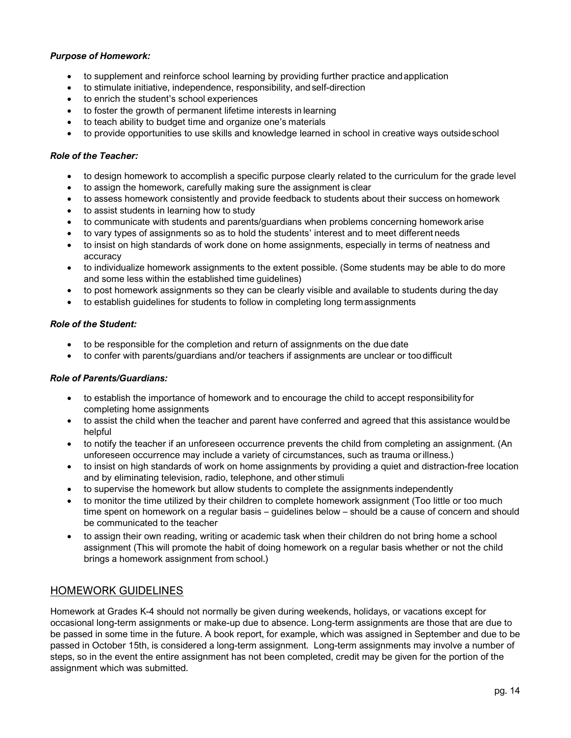#### *Purpose of Homework:*

- to supplement and reinforce school learning by providing further practice andapplication
- to stimulate initiative, independence, responsibility, and self-direction
- to enrich the student's school experiences
- to foster the growth of permanent lifetime interests in learning
- to teach ability to budget time and organize one's materials
- to provide opportunities to use skills and knowledge learned in school in creative ways outside school

#### *Role of the Teacher:*

- to design homework to accomplish a specific purpose clearly related to the curriculum for the grade level
- to assign the homework, carefully making sure the assignment is clear
- to assess homework consistently and provide feedback to students about their success on homework
- to assist students in learning how to study
- to communicate with students and parents/guardians when problems concerning homework arise
- to vary types of assignments so as to hold the students' interest and to meet different needs
- to insist on high standards of work done on home assignments, especially in terms of neatness and accuracy
- to individualize homework assignments to the extent possible. (Some students may be able to do more and some less within the established time guidelines)
- to post homework assignments so they can be clearly visible and available to students during the day
- to establish guidelines for students to follow in completing long termassignments

#### *Role of the Student:*

- to be responsible for the completion and return of assignments on the due date
- to confer with parents/guardians and/or teachers if assignments are unclear or toodifficult

#### *Role of Parents/Guardians:*

- to establish the importance of homework and to encourage the child to accept responsibility for completing home assignments
- to assist the child when the teacher and parent have conferred and agreed that this assistance wouldbe helpful
- to notify the teacher if an unforeseen occurrence prevents the child from completing an assignment. (An unforeseen occurrence may include a variety of circumstances, such as trauma orillness.)
- to insist on high standards of work on home assignments by providing a quiet and distraction-free location and by eliminating television, radio, telephone, and other stimuli
- to supervise the homework but allow students to complete the assignments independently
- to monitor the time utilized by their children to complete homework assignment (Too little or too much time spent on homework on a regular basis – guidelines below – should be a cause of concern and should be communicated to the teacher
- to assign their own reading, writing or academic task when their children do not bring home a school assignment (This will promote the habit of doing homework on a regular basis whether or not the child brings a homework assignment from school.)

### HOMEWORK GUIDELINES

Homework at Grades K-4 should not normally be given during weekends, holidays, or vacations except for occasional long-term assignments or make-up due to absence. Long-term assignments are those that are due to be passed in some time in the future. A book report, for example, which was assigned in September and due to be passed in October 15th, is considered a long-term assignment. Long-term assignments may involve a number of steps, so in the event the entire assignment has not been completed, credit may be given for the portion of the assignment which was submitted.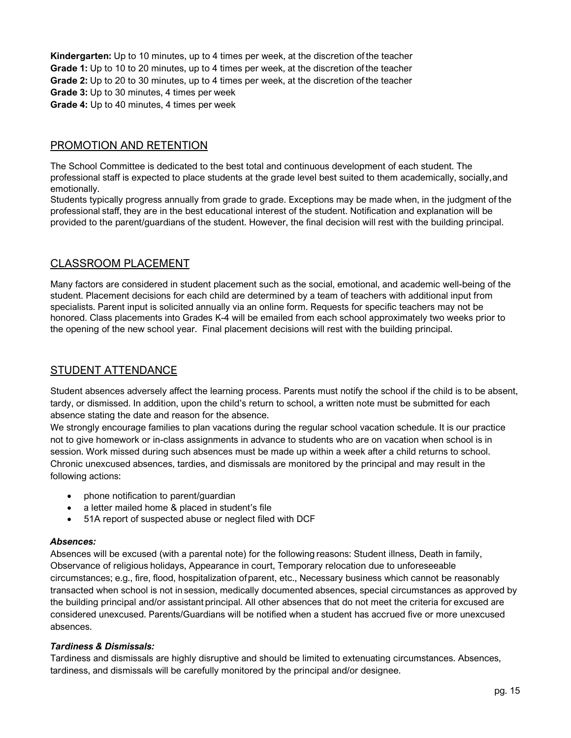**Kindergarten:** Up to 10 minutes, up to 4 times per week, at the discretion of the teacher **Grade 1:** Up to 10 to 20 minutes, up to 4 times per week, at the discretion of the teacher **Grade 2:** Up to 20 to 30 minutes, up to 4 times per week, at the discretion of the teacher **Grade 3:** Up to 30 minutes, 4 times per week **Grade 4:** Up to 40 minutes, 4 times per week

# PROMOTION AND RETENTION

The School Committee is dedicated to the best total and continuous development of each student. The professional staff is expected to place students at the grade level best suited to them academically, socially,and emotionally.

Students typically progress annually from grade to grade. Exceptions may be made when, in the judgment of the professional staff, they are in the best educational interest of the student. Notification and explanation will be provided to the parent/guardians of the student. However, the final decision will rest with the building principal.

# CLASSROOM PLACEMENT

Many factors are considered in student placement such as the social, emotional, and academic well-being of the student. Placement decisions for each child are determined by a team of teachers with additional input from specialists. Parent input is solicited annually via an online form. Requests for specific teachers may not be honored. Class placements into Grades K-4 will be emailed from each school approximately two weeks prior to the opening of the new school year. Final placement decisions will rest with the building principal.

### STUDENT ATTENDANCE

Student absences adversely affect the learning process. Parents must notify the school if the child is to be absent, tardy, or dismissed. In addition, upon the child's return to school, a written note must be submitted for each absence stating the date and reason for the absence.

We strongly encourage families to plan vacations during the regular school vacation schedule. It is our practice not to give homework or in-class assignments in advance to students who are on vacation when school is in session. Work missed during such absences must be made up within a week after a child returns to school. Chronic unexcused absences, tardies, and dismissals are monitored by the principal and may result in the following actions:

- phone notification to parent/guardian
- a letter mailed home & placed in student's file
- 51A report of suspected abuse or neglect filed with DCF

#### *Absences:*

Absences will be excused (with a parental note) for the following reasons: Student illness, Death in family, Observance of religious holidays, Appearance in court, Temporary relocation due to unforeseeable circumstances; e.g., fire, flood, hospitalization ofparent, etc., Necessary business which cannot be reasonably transacted when school is not in session, medically documented absences, special circumstances as approved by the building principal and/or assistant principal. All other absences that do not meet the criteria for excused are considered unexcused. Parents/Guardians will be notified when a student has accrued five or more unexcused absences.

#### *Tardiness & Dismissals:*

Tardiness and dismissals are highly disruptive and should be limited to extenuating circumstances. Absences, tardiness, and dismissals will be carefully monitored by the principal and/or designee.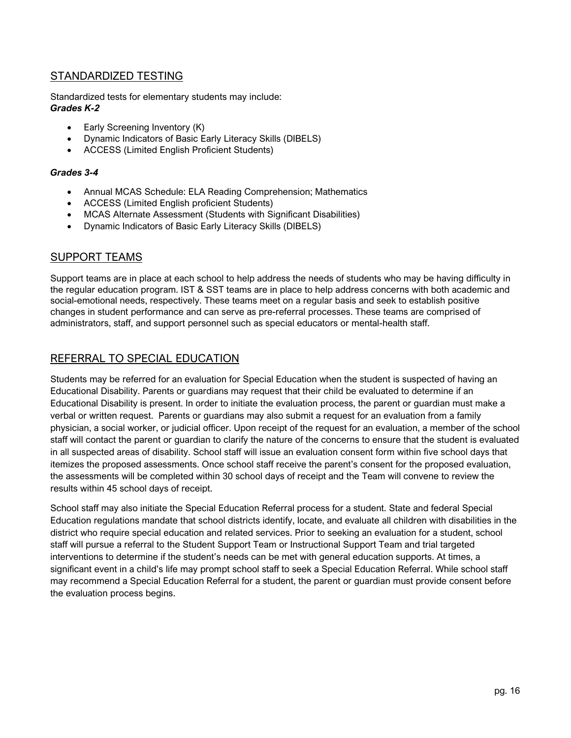# STANDARDIZED TESTING

Standardized tests for elementary students may include: *Grades K-2*

- Early Screening Inventory (K)
- Dynamic Indicators of Basic Early Literacy Skills (DIBELS)
- ACCESS (Limited English Proficient Students)

#### *Grades 3-4*

- Annual MCAS Schedule: ELA Reading Comprehension; Mathematics
- ACCESS (Limited English proficient Students)
- MCAS Alternate Assessment (Students with Significant Disabilities)
- Dynamic Indicators of Basic Early Literacy Skills (DIBELS)

### SUPPORT TEAMS

Support teams are in place at each school to help address the needs of students who may be having difficulty in the regular education program. IST & SST teams are in place to help address concerns with both academic and social-emotional needs, respectively. These teams meet on a regular basis and seek to establish positive changes in student performance and can serve as pre-referral processes. These teams are comprised of administrators, staff, and support personnel such as special educators or mental-health staff.

# REFERRAL TO SPECIAL EDUCATION

Students may be referred for an evaluation for Special Education when the student is suspected of having an Educational Disability. Parents or guardians may request that their child be evaluated to determine if an Educational Disability is present. In order to initiate the evaluation process, the parent or guardian must make a verbal or written request. Parents or guardians may also submit a request for an evaluation from a family physician, a social worker, or judicial officer. Upon receipt of the request for an evaluation, a member of the school staff will contact the parent or guardian to clarify the nature of the concerns to ensure that the student is evaluated in all suspected areas of disability. School staff will issue an evaluation consent form within five school days that itemizes the proposed assessments. Once school staff receive the parent's consent for the proposed evaluation, the assessments will be completed within 30 school days of receipt and the Team will convene to review the results within 45 school days of receipt.

<span id="page-16-0"></span>School staff may also initiate the Special Education Referral process for a student. State and federal Special Education regulations mandate that school districts identify, locate, and evaluate all children with disabilities in the district who require special education and related services. Prior to seeking an evaluation for a student, school staff will pursue a referral to the Student Support Team or Instructional Support Team and trial targeted interventions to determine if the student's needs can be met with general education supports. At times, a significant event in a child's life may prompt school staff to seek a Special Education Referral. While school staff may recommend a Special Education Referral for a student, the parent or guardian must provide consent before the evaluation process begins.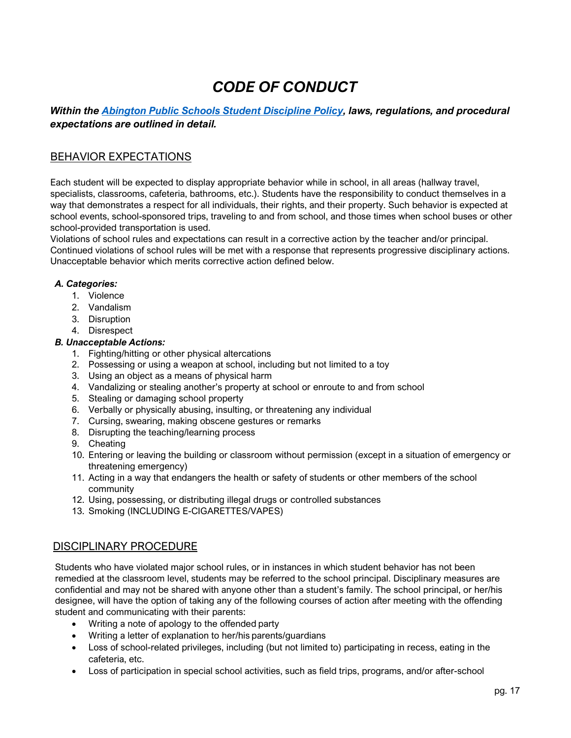# *CODE OF CONDUCT*

# *Within the [Abington Public Schools Student Discipline Policy,](https://z2policy.ctspublish.com/masc/browse/abingtonset/abington/JIC/z2Code_JIC) laws, regulations, and procedural expectations are outlined in detail.*

# BEHAVIOR EXPECTATIONS

Each student will be expected to display appropriate behavior while in school, in all areas (hallway travel, specialists, classrooms, cafeteria, bathrooms, etc.). Students have the responsibility to conduct themselves in a way that demonstrates a respect for all individuals, their rights, and their property. Such behavior is expected at school events, school-sponsored trips, traveling to and from school, and those times when school buses or other school-provided transportation is used.

Violations of school rules and expectations can result in a corrective action by the teacher and/or principal. Continued violations of school rules will be met with a response that represents progressive disciplinary actions. Unacceptable behavior which merits corrective action defined below.

#### *A. Categories:*

- 1. Violence
- 2. Vandalism
- 3. Disruption
- 4. Disrespect

#### *B. Unacceptable Actions:*

- 1. Fighting/hitting or other physical altercations
- 2. Possessing or using a weapon at school, including but not limited to a toy
- 3. Using an object as a means of physical harm
- 4. Vandalizing or stealing another's property at school or enroute to and from school
- 5. Stealing or damaging school property
- 6. Verbally or physically abusing, insulting, or threatening any individual
- 7. Cursing, swearing, making obscene gestures or remarks
- 8. Disrupting the teaching/learning process
- 9. Cheating
- 10. Entering or leaving the building or classroom without permission (except in a situation of emergency or threatening emergency)
- 11. Acting in a way that endangers the health or safety of students or other members of the school community
- 12. Using, possessing, or distributing illegal drugs or controlled substances
- 13. Smoking (INCLUDING E-CIGARETTES/VAPES)

### DISCIPLINARY PROCEDURE

Students who have violated major school rules, or in instances in which student behavior has not been remedied at the classroom level, students may be referred to the school principal. Disciplinary measures are confidential and may not be shared with anyone other than a student's family. The school principal, or her/his designee, will have the option of taking any of the following courses of action after meeting with the offending student and communicating with their parents:

- Writing a note of apology to the offended party
- Writing a letter of explanation to her/his parents/guardians
- Loss of school-related privileges, including (but not limited to) participating in recess, eating in the cafeteria, etc.
- Loss of participation in special school activities, such as field trips, programs, and/or after-school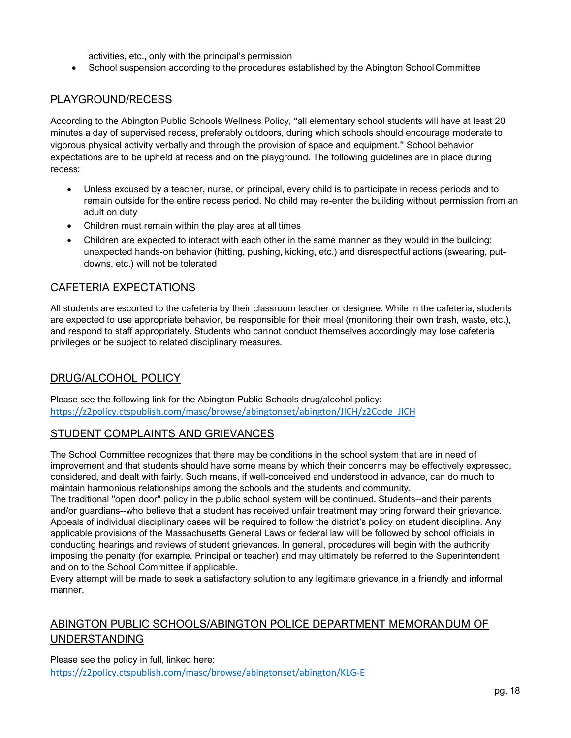activities, etc., only with the principal's permission

• School suspension according to the procedures established by the Abington School Committee

# PLAYGROUND/RECESS

According to the Abington Public Schools Wellness Policy, "all elementary school students will have at least 20 minutes a day of supervised recess, preferably outdoors, during which schools should encourage moderate to vigorous physical activity verbally and through the provision of space and equipment." School behavior expectations are to be upheld at recess and on the playground. The following guidelines are in place during recess:

- Unless excused by a teacher, nurse, or principal, every child is to participate in recess periods and to remain outside for the entire recess period. No child may re-enter the building without permission from an adult on duty
- Children must remain within the play area at all times
- Children are expected to interact with each other in the same manner as they would in the building: unexpected hands-on behavior (hitting, pushing, kicking, etc.) and disrespectful actions (swearing, putdowns, etc.) will not be tolerated

### CAFETERIA EXPECTATIONS

All students are escorted to the cafeteria by their classroom teacher or designee. While in the cafeteria, students are expected to use appropriate behavior, be responsible for their meal (monitoring their own trash, waste, etc.), and respond to staff appropriately. Students who cannot conduct themselves accordingly may lose cafeteria privileges or be subject to related disciplinary measures.

# DRUG/ALCOHOL POLICY

Please see the following link for the Abington Public Schools drug/alcohol policy: [https://z2policy.ctspublish.com/masc/browse/abingtonset/abington/JICH/z2Code\\_JICH](https://z2policy.ctspublish.com/masc/browse/abingtonset/abington/JICH/z2Code_JICH)

# STUDENT COMPLAINTS AND GRIEVANCES

The School Committee recognizes that there may be conditions in the school system that are in need of improvement and that students should have some means by which their concerns may be effectively expressed, considered, and dealt with fairly. Such means, if well-conceived and understood in advance, can do much to maintain harmonious relationships among the schools and the students and community.

The traditional "open door" policy in the public school system will be continued. Students--and their parents and/or guardians--who believe that a student has received unfair treatment may bring forward their grievance. Appeals of individual disciplinary cases will be required to follow the district's policy on student discipline. Any applicable provisions of the Massachusetts General Laws or federal law will be followed by school officials in conducting hearings and reviews of student grievances. In general, procedures will begin with the authority imposing the penalty (for example, Principal or teacher) and may ultimately be referred to the Superintendent and on to the School Committee if applicable.

Every attempt will be made to seek a satisfactory solution to any legitimate grievance in a friendly and informal manner.

# ABINGTON PUBLIC SCHOOLS/ABINGTON POLICE DEPARTMENT MEMORANDUM OF UNDERSTANDING

Please see the policy in full, linked here: <https://z2policy.ctspublish.com/masc/browse/abingtonset/abington/KLG-E>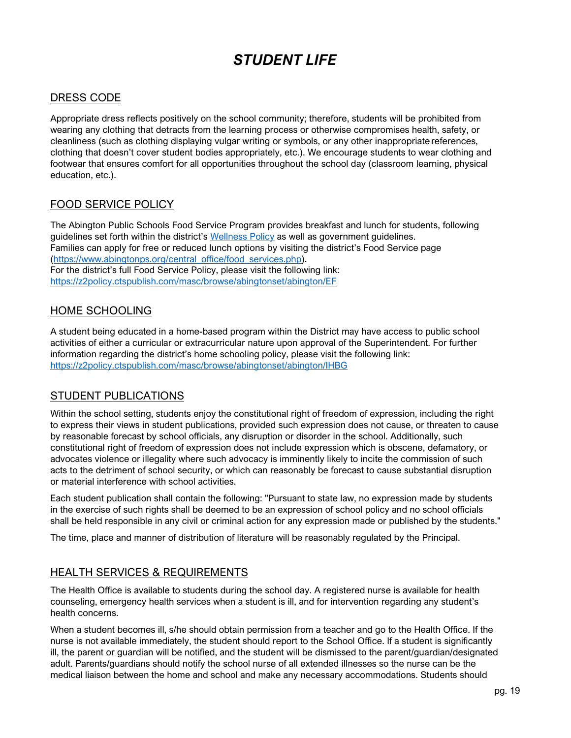# *STUDENT LIFE*

# <span id="page-19-0"></span>DRESS CODE

Appropriate dress reflects positively on the school community; therefore, students will be prohibited from wearing any clothing that detracts from the learning process or otherwise compromises health, safety, or cleanliness (such as clothing displaying vulgar writing or symbols, or any other inappropriate references, clothing that doesn't cover student bodies appropriately, etc.). We encourage students to wear clothing and footwear that ensures comfort for all opportunities throughout the school day (classroom learning, physical education, etc.).

# FOOD SERVICE POLICY

The Abington Public Schools Food Service Program provides breakfast and lunch for students, following guidelines set forth within the district's [Wellness Policy](https://abingtonps.org/Food%20Services%202019-2020/Wellness_Policy_2013.pdf) as well as government guidelines. Families can apply for free or reduced lunch options by visiting the district's Food Service page [\(https://www.abingtonps.org/central\\_office/food\\_services.php\)](https://www.abingtonps.org/central_office/food_services.php). For the district's full Food Service Policy, please visit the following link: <https://z2policy.ctspublish.com/masc/browse/abingtonset/abington/EF>

# HOME SCHOOLING

A student being educated in a home-based program within the District may have access to public school activities of either a curricular or extracurricular nature upon approval of the Superintendent. For further information regarding the district's home schooling policy, please visit the following link: <https://z2policy.ctspublish.com/masc/browse/abingtonset/abington/IHBG>

# STUDENT PUBLICATIONS

Within the school setting, students enjoy the constitutional right of freedom of expression, including the right to express their views in student publications, provided such expression does not cause, or threaten to cause by reasonable forecast by school officials, any disruption or disorder in the school. Additionally, such constitutional right of freedom of expression does not include expression which is obscene, defamatory, or advocates violence or illegality where such advocacy is imminently likely to incite the commission of such acts to the detriment of school security, or which can reasonably be forecast to cause substantial disruption or material interference with school activities.

Each student publication shall contain the following: "Pursuant to state law, no expression made by students in the exercise of such rights shall be deemed to be an expression of school policy and no school officials shall be held responsible in any civil or criminal action for any expression made or published by the students."

The time, place and manner of distribution of literature will be reasonably regulated by the Principal.

# **HEALTH SERVICES & REQUIREMENTS**

The Health Office is available to students during the school day. A registered nurse is available for health counseling, emergency health services when a student is ill, and for intervention regarding any student's health concerns.

When a student becomes ill, s/he should obtain permission from a teacher and go to the Health Office. If the nurse is not available immediately, the student should report to the School Office. If a student is significantly ill, the parent or guardian will be notified, and the student will be dismissed to the parent/guardian/designated adult. Parents/guardians should notify the school nurse of all extended illnesses so the nurse can be the medical liaison between the home and school and make any necessary accommodations. Students should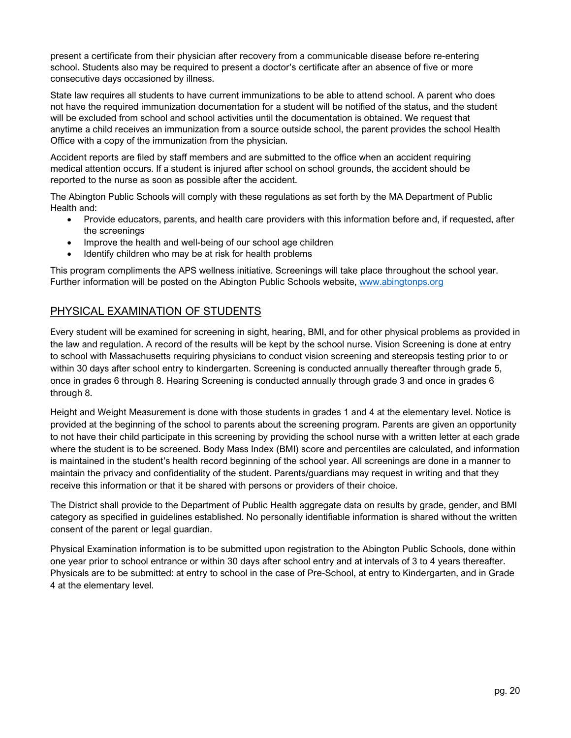present a certificate from their physician after recovery from a communicable disease before re-entering school. Students also may be required to present a doctor's certificate after an absence of five or more consecutive days occasioned by illness.

State law requires all students to have current immunizations to be able to attend school. A parent who does not have the required immunization documentation for a student will be notified of the status, and the student will be excluded from school and school activities until the documentation is obtained. We request that anytime a child receives an immunization from a source outside school, the parent provides the school Health Office with a copy of the immunization from the physician.

Accident reports are filed by staff members and are submitted to the office when an accident requiring medical attention occurs. If a student is injured after school on school grounds, the accident should be reported to the nurse as soon as possible after the accident.

The Abington Public Schools will comply with these regulations as set forth by the MA Department of Public Health and:

- Provide educators, parents, and health care providers with this information before and, if requested, after the screenings
- Improve the health and well-being of our school age children
- Identify children who may be at risk for health problems

This program compliments the APS wellness initiative. Screenings will take place throughout the school year. Further information will be posted on the Abington Public Schools website, www.abingtonps.org

# PHYSICAL EXAMINATION OF STUDENTS

Every student will be examined for screening in sight, hearing, BMI, and for other physical problems as provided in the law and regulation. A record of the results will be kept by the school nurse. Vision Screening is done at entry to school with Massachusetts requiring physicians to conduct vision screening and stereopsis testing prior to or within 30 days after school entry to kindergarten. Screening is conducted annually thereafter through grade 5, once in grades 6 through 8. Hearing Screening is conducted annually through grade 3 and once in grades 6 through 8.

Height and Weight Measurement is done with those students in grades 1 and 4 at the elementary level. Notice is provided at the beginning of the school to parents about the screening program. Parents are given an opportunity to not have their child participate in this screening by providing the school nurse with a written letter at each grade where the student is to be screened. Body Mass Index (BMI) score and percentiles are calculated, and information is maintained in the student's health record beginning of the school year. All screenings are done in a manner to maintain the privacy and confidentiality of the student. Parents/guardians may request in writing and that they receive this information or that it be shared with persons or providers of their choice.

The District shall provide to the Department of Public Health aggregate data on results by grade, gender, and BMI category as specified in guidelines established. No personally identifiable information is shared without the written consent of the parent or legal guardian.

Physical Examination information is to be submitted upon registration to the Abington Public Schools, done within one year prior to school entrance or within 30 days after school entry and at intervals of 3 to 4 years thereafter. Physicals are to be submitted: at entry to school in the case of Pre-School, at entry to Kindergarten, and in Grade 4 at the elementary level.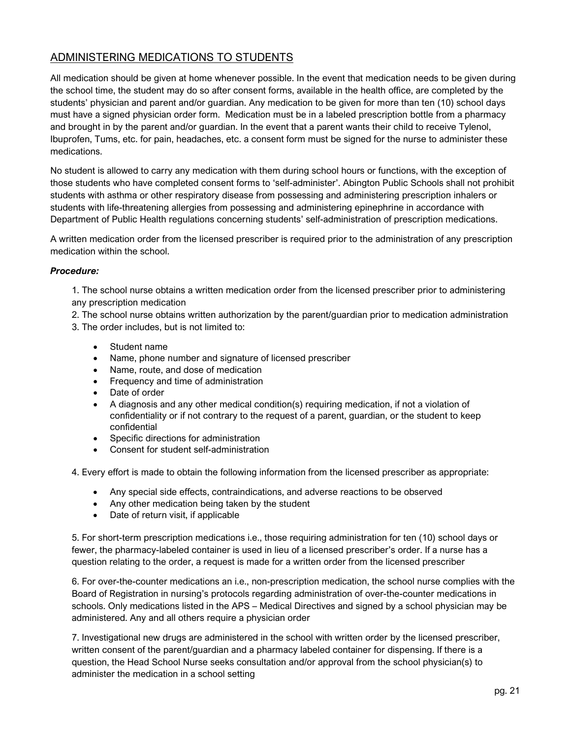# ADMINISTERING MEDICATIONS TO STUDENTS

All medication should be given at home whenever possible. In the event that medication needs to be given during the school time, the student may do so after consent forms, available in the health office, are completed by the students' physician and parent and/or guardian. Any medication to be given for more than ten (10) school days must have a signed physician order form. Medication must be in a labeled prescription bottle from a pharmacy and brought in by the parent and/or guardian. In the event that a parent wants their child to receive Tylenol, Ibuprofen, Tums, etc. for pain, headaches, etc. a consent form must be signed for the nurse to administer these medications.

No student is allowed to carry any medication with them during school hours or functions, with the exception of those students who have completed consent forms to 'self-administer'. Abington Public Schools shall not prohibit students with asthma or other respiratory disease from possessing and administering prescription inhalers or students with life-threatening allergies from possessing and administering epinephrine in accordance with Department of Public Health regulations concerning students' self-administration of prescription medications.

A written medication order from the licensed prescriber is required prior to the administration of any prescription medication within the school.

#### *Procedure:*

1. The school nurse obtains a written medication order from the licensed prescriber prior to administering any prescription medication

- 2. The school nurse obtains written authorization by the parent/guardian prior to medication administration
- 3. The order includes, but is not limited to:
	- Student name
	- Name, phone number and signature of licensed prescriber
	- Name, route, and dose of medication
	- Frequency and time of administration
	- Date of order
	- A diagnosis and any other medical condition(s) requiring medication, if not a violation of confidentiality or if not contrary to the request of a parent, guardian, or the student to keep confidential
	- Specific directions for administration
	- Consent for student self-administration
- 4. Every effort is made to obtain the following information from the licensed prescriber as appropriate:
	- Any special side effects, contraindications, and adverse reactions to be observed
	- Any other medication being taken by the student
	- Date of return visit, if applicable

5. For short-term prescription medications i.e., those requiring administration for ten (10) school days or fewer, the pharmacy-labeled container is used in lieu of a licensed prescriber's order. If a nurse has a question relating to the order, a request is made for a written order from the licensed prescriber

6. For over-the-counter medications an i.e., non-prescription medication, the school nurse complies with the Board of Registration in nursing's protocols regarding administration of over-the-counter medications in schools. Only medications listed in the APS – Medical Directives and signed by a school physician may be administered. Any and all others require a physician order

7. Investigational new drugs are administered in the school with written order by the licensed prescriber, written consent of the parent/guardian and a pharmacy labeled container for dispensing. If there is a question, the Head School Nurse seeks consultation and/or approval from the school physician(s) to administer the medication in a school setting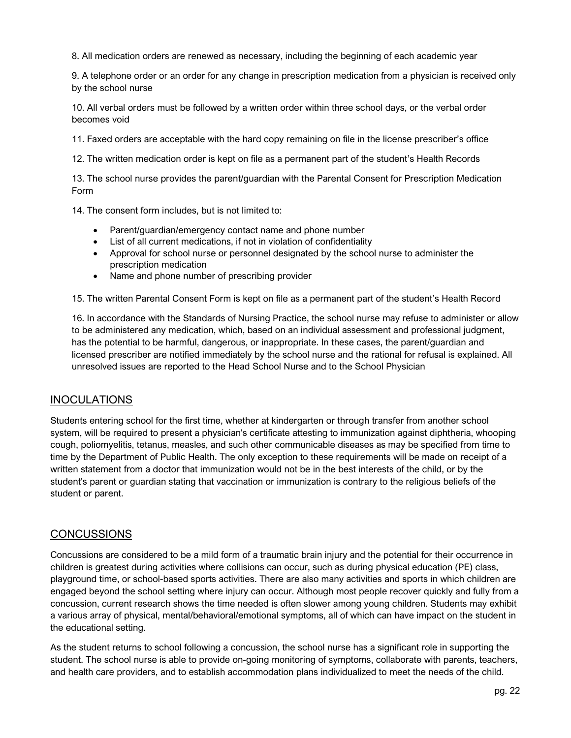8. All medication orders are renewed as necessary, including the beginning of each academic year

9. A telephone order or an order for any change in prescription medication from a physician is received only by the school nurse

10. All verbal orders must be followed by a written order within three school days, or the verbal order becomes void

11. Faxed orders are acceptable with the hard copy remaining on file in the license prescriber's office

12. The written medication order is kept on file as a permanent part of the student's Health Records

13. The school nurse provides the parent/guardian with the Parental Consent for Prescription Medication Form

14. The consent form includes, but is not limited to:

- Parent/guardian/emergency contact name and phone number
- List of all current medications, if not in violation of confidentiality
- Approval for school nurse or personnel designated by the school nurse to administer the prescription medication
- Name and phone number of prescribing provider

15. The written Parental Consent Form is kept on file as a permanent part of the student's Health Record

16. In accordance with the Standards of Nursing Practice, the school nurse may refuse to administer or allow to be administered any medication, which, based on an individual assessment and professional judgment, has the potential to be harmful, dangerous, or inappropriate. In these cases, the parent/guardian and licensed prescriber are notified immediately by the school nurse and the rational for refusal is explained. All unresolved issues are reported to the Head School Nurse and to the School Physician

### INOCULATIONS

Students entering school for the first time, whether at kindergarten or through transfer from another school system, will be required to present a physician's certificate attesting to immunization against diphtheria, whooping cough, poliomyelitis, tetanus, measles, and such other communicable diseases as may be specified from time to time by the Department of Public Health. The only exception to these requirements will be made on receipt of a written statement from a doctor that immunization would not be in the best interests of the child, or by the student's parent or guardian stating that vaccination or immunization is contrary to the religious beliefs of the student or parent.

### **CONCUSSIONS**

Concussions are considered to be a mild form of a traumatic brain injury and the potential for their occurrence in children is greatest during activities where collisions can occur, such as during physical education (PE) class, playground time, or school-based sports activities. There are also many activities and sports in which children are engaged beyond the school setting where injury can occur. Although most people recover quickly and fully from a concussion, current research shows the time needed is often slower among young children. Students may exhibit a various array of physical, mental/behavioral/emotional symptoms, all of which can have impact on the student in the educational setting.

As the student returns to school following a concussion, the school nurse has a significant role in supporting the student. The school nurse is able to provide on-going monitoring of symptoms, collaborate with parents, teachers, and health care providers, and to establish accommodation plans individualized to meet the needs of the child.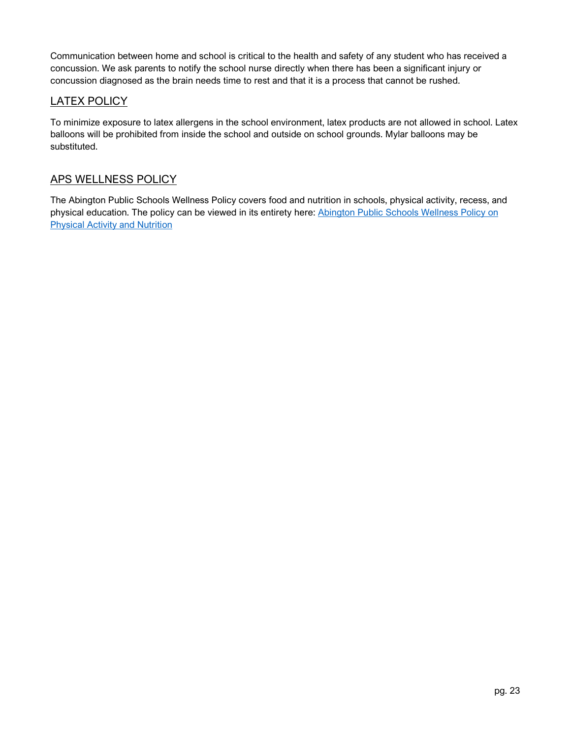Communication between home and school is critical to the health and safety of any student who has received a concussion. We ask parents to notify the school nurse directly when there has been a significant injury or concussion diagnosed as the brain needs time to rest and that it is a process that cannot be rushed.

# LATEX POLICY

To minimize exposure to latex allergens in the school environment, latex products are not allowed in school. Latex balloons will be prohibited from inside the school and outside on school grounds. Mylar balloons may be substituted.

# APS WELLNESS POLICY

The Abington Public Schools Wellness Policy covers food and nutrition in schools, physical activity, recess, and physical education. The policy can be viewed in its entirety here: [Abington Public Schools Wellness Policy on](https://abingtonps.org/FoodService/Wellness_Policy_2013.pdf)  [Physical Activity and Nutrition](https://abingtonps.org/FoodService/Wellness_Policy_2013.pdf)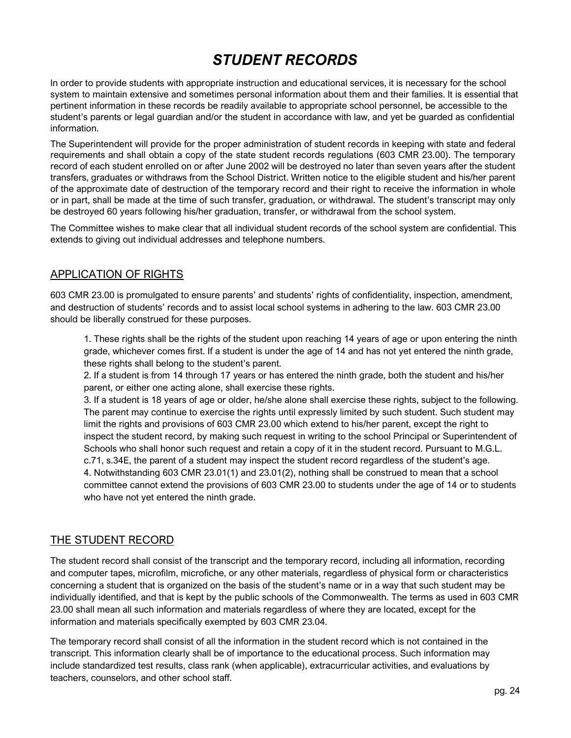# *STUDENT RECORDS*

<span id="page-24-0"></span>In order to provide students with appropriate instruction and educational services, it is necessary for the school system to maintain extensive and sometimes personal information about them and their families. It is essential that pertinent information in these records be readily available to appropriate school personnel, be accessible to the student's parents or legal guardian and/or the student in accordance with law, and yet be guarded as confidential information.

The Superintendent will provide for the proper administration of student records in keeping with state and federal requirements and shall obtain a copy of the state student records regulations (603 CMR 23.00). The temporary record of each student enrolled on or after June 2002 will be destroyed no later than seven years after the student transfers, graduates or withdraws from the School District. Written notice to the eligible student and his/her parent of the approximate date of destruction of the temporary record and their right to receive the information in whole or in part, shall be made at the time of such transfer, graduation, or withdrawal. The student's transcript may only be destroyed 60 years following his/her graduation, transfer, or withdrawal from the school system.

The Committee wishes to make clear that all individual student records of the school system are confidential. This extends to giving out individual addresses and telephone numbers.

### APPLICATION OF RIGHTS

603 CMR 23.00 is promulgated to ensure parents' and students' rights of confidentiality, inspection, amendment, and destruction of students' records and to assist local school systems in adhering to the law. 603 CMR 23.00 should be liberally construed for these purposes.

1. These rights shall be the rights of the student upon reaching 14 years of age or upon entering the ninth grade, whichever comes first. If a student is under the age of 14 and has not yet entered the ninth grade, these rights shall belong to the student's parent.

2. If a student is from 14 through 17 years or has entered the ninth grade, both the student and his/her parent, or either one acting alone, shall exercise these rights.

3. If a student is 18 years of age or older, he/she alone shall exercise these rights, subject to the following. The parent may continue to exercise the rights until expressly limited by such student. Such student may limit the rights and provisions of 603 CMR 23.00 which extend to his/her parent, except the right to inspect the student record, by making such request in writing to the school Principal or Superintendent of Schools who shall honor such request and retain a copy of it in the student record. Pursuant to M.G.L. c.71, s.34E, the parent of a student may inspect the student record regardless of the student's age. 4. Notwithstanding 603 CMR 23.01(1) and 23.01(2), nothing shall be construed to mean that a school committee cannot extend the provisions of 603 CMR 23.00 to students under the age of 14 or to students who have not yet entered the ninth grade.

# THE STUDENT RECORD

The student record shall consist of the transcript and the temporary record, including all information, recording and computer tapes, microfilm, microfiche, or any other materials, regardless of physical form or characteristics concerning a student that is organized on the basis of the student's name or in a way that such student may be individually identified, and that is kept by the public schools of the Commonwealth. The terms as used in 603 CMR 23.00 shall mean all such information and materials regardless of where they are located, except for the information and materials specifically exempted by 603 CMR 23.04.

The temporary record shall consist of all the information in the student record which is not contained in the transcript. This information clearly shall be of importance to the educational process. Such information may include standardized test results, class rank (when applicable), extracurricular activities, and evaluations by teachers, counselors, and other school staff.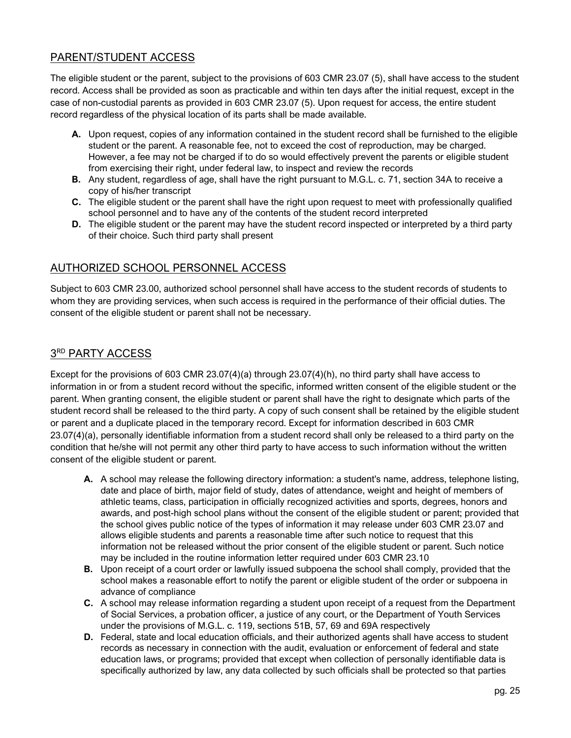# PARENT/STUDENT ACCESS

The eligible student or the parent, subject to the provisions of 603 CMR 23.07 (5), shall have access to the student record. Access shall be provided as soon as practicable and within ten days after the initial request, except in the case of non-custodial parents as provided in 603 CMR 23.07 (5). Upon request for access, the entire student record regardless of the physical location of its parts shall be made available.

- **A.** Upon request, copies of any information contained in the student record shall be furnished to the eligible student or the parent. A reasonable fee, not to exceed the cost of reproduction, may be charged. However, a fee may not be charged if to do so would effectively prevent the parents or eligible student from exercising their right, under federal law, to inspect and review the records
- **B.** Any student, regardless of age, shall have the right pursuant to M.G.L. c. 71, section 34A to receive a copy of his/her transcript
- **C.** The eligible student or the parent shall have the right upon request to meet with professionally qualified school personnel and to have any of the contents of the student record interpreted
- **D.** The eligible student or the parent may have the student record inspected or interpreted by a third party of their choice. Such third party shall present

# AUTHORIZED SCHOOL PERSONNEL ACCESS

Subject to 603 CMR 23.00, authorized school personnel shall have access to the student records of students to whom they are providing services, when such access is required in the performance of their official duties. The consent of the eligible student or parent shall not be necessary.

# 3RD PARTY ACCESS

Except for the provisions of 603 CMR 23.07(4)(a) through 23.07(4)(h), no third party shall have access to information in or from a student record without the specific, informed written consent of the eligible student or the parent. When granting consent, the eligible student or parent shall have the right to designate which parts of the student record shall be released to the third party. A copy of such consent shall be retained by the eligible student or parent and a duplicate placed in the temporary record. Except for information described in 603 CMR 23.07(4)(a), personally identifiable information from a student record shall only be released to a third party on the condition that he/she will not permit any other third party to have access to such information without the written consent of the eligible student or parent.

- **A.** A school may release the following directory information: a student's name, address, telephone listing, date and place of birth, major field of study, dates of attendance, weight and height of members of athletic teams, class, participation in officially recognized activities and sports, degrees, honors and awards, and post-high school plans without the consent of the eligible student or parent; provided that the school gives public notice of the types of information it may release under 603 CMR 23.07 and allows eligible students and parents a reasonable time after such notice to request that this information not be released without the prior consent of the eligible student or parent. Such notice may be included in the routine information letter required under 603 CMR 23.10
- **B.** Upon receipt of a court order or lawfully issued subpoena the school shall comply, provided that the school makes a reasonable effort to notify the parent or eligible student of the order or subpoena in advance of compliance
- **C.** A school may release information regarding a student upon receipt of a request from the Department of Social Services, a probation officer, a justice of any court, or the Department of Youth Services under the provisions of M.G.L. c. 119, sections 51B, 57, 69 and 69A respectively
- **D.** Federal, state and local education officials, and their authorized agents shall have access to student records as necessary in connection with the audit, evaluation or enforcement of federal and state education laws, or programs; provided that except when collection of personally identifiable data is specifically authorized by law, any data collected by such officials shall be protected so that parties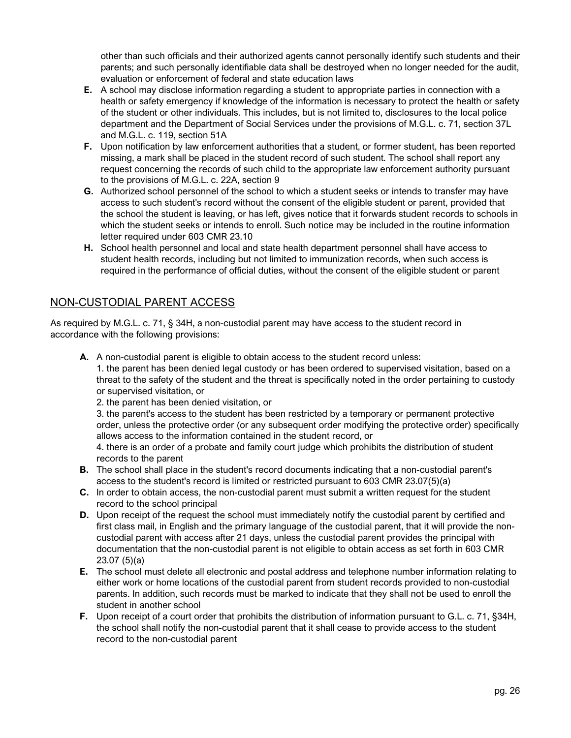other than such officials and their authorized agents cannot personally identify such students and their parents; and such personally identifiable data shall be destroyed when no longer needed for the audit, evaluation or enforcement of federal and state education laws

- **E.** A school may disclose information regarding a student to appropriate parties in connection with a health or safety emergency if knowledge of the information is necessary to protect the health or safety of the student or other individuals. This includes, but is not limited to, disclosures to the local police department and the Department of Social Services under the provisions of M.G.L. c. 71, section 37L and M.G.L. c. 119, section 51A
- **F.** Upon notification by law enforcement authorities that a student, or former student, has been reported missing, a mark shall be placed in the student record of such student. The school shall report any request concerning the records of such child to the appropriate law enforcement authority pursuant to the provisions of M.G.L. c. 22A, section 9
- **G.** Authorized school personnel of the school to which a student seeks or intends to transfer may have access to such student's record without the consent of the eligible student or parent, provided that the school the student is leaving, or has left, gives notice that it forwards student records to schools in which the student seeks or intends to enroll. Such notice may be included in the routine information letter required under 603 CMR 23.10
- **H.** School health personnel and local and state health department personnel shall have access to student health records, including but not limited to immunization records, when such access is required in the performance of official duties, without the consent of the eligible student or parent

# NON-CUSTODIAL PARENT ACCESS

As required by M.G.L. c. 71, § 34H, a non-custodial parent may have access to the student record in accordance with the following provisions:

**A.** A non-custodial parent is eligible to obtain access to the student record unless:

1. the parent has been denied legal custody or has been ordered to supervised visitation, based on a threat to the safety of the student and the threat is specifically noted in the order pertaining to custody or supervised visitation, or

2. the parent has been denied visitation, or

3. the parent's access to the student has been restricted by a temporary or permanent protective order, unless the protective order (or any subsequent order modifying the protective order) specifically allows access to the information contained in the student record, or

4. there is an order of a probate and family court judge which prohibits the distribution of student records to the parent

- **B.** The school shall place in the student's record documents indicating that a non-custodial parent's access to the student's record is limited or restricted pursuant to 603 CMR 23.07(5)(a)
- **C.** In order to obtain access, the non-custodial parent must submit a written request for the student record to the school principal
- **D.** Upon receipt of the request the school must immediately notify the custodial parent by certified and first class mail, in English and the primary language of the custodial parent, that it will provide the noncustodial parent with access after 21 days, unless the custodial parent provides the principal with documentation that the non-custodial parent is not eligible to obtain access as set forth in 603 CMR 23.07 (5)(a)
- **E.** The school must delete all electronic and postal address and telephone number information relating to either work or home locations of the custodial parent from student records provided to non-custodial parents. In addition, such records must be marked to indicate that they shall not be used to enroll the student in another school
- <span id="page-26-0"></span>**F.** Upon receipt of a court order that prohibits the distribution of information pursuant to G.L. c. 71, §34H, the school shall notify the non-custodial parent that it shall cease to provide access to the student record to the non-custodial parent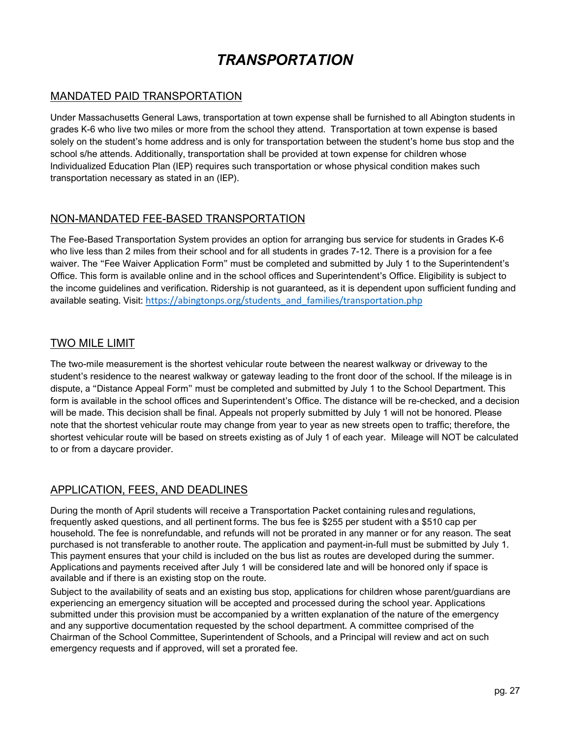# *TRANSPORTATION*

# MANDATED PAID TRANSPORTATION

Under Massachusetts General Laws, transportation at town expense shall be furnished to all Abington students in grades K-6 who live two miles or more from the school they attend. Transportation at town expense is based solely on the student's home address and is only for transportation between the student's home bus stop and the school s/he attends. Additionally, transportation shall be provided at town expense for children whose Individualized Education Plan (IEP) requires such transportation or whose physical condition makes such transportation necessary as stated in an (IEP).

### NON-MANDATED FEE-BASED TRANSPORTATION

The Fee-Based Transportation System provides an option for arranging bus service for students in Grades K-6 who live less than 2 miles from their school and for all students in grades 7-12. There is a provision for a fee waiver. The "Fee Waiver Application Form" must be completed and submitted by July 1 to the Superintendent's Office. This form is available online and in the school offices and Superintendent's Office. Eligibility is subject to the income guidelines and verification. Ridership is not guaranteed, as it is dependent upon sufficient funding and available seating. Visit: [https://abingtonps.org/students\\_and\\_families/transportation.php](https://abingtonps.org/students_and_families/transportation.php) 

### TWO MILE LIMIT

The two-mile measurement is the shortest vehicular route between the nearest walkway or driveway to the student's residence to the nearest walkway or gateway leading to the front door of the school. If the mileage is in dispute, a "Distance Appeal Form" must be completed and submitted by July 1 to the School Department. This form is available in the school offices and Superintendent's Office. The distance will be re-checked, and a decision will be made. This decision shall be final. Appeals not properly submitted by July 1 will not be honored. Please note that the shortest vehicular route may change from year to year as new streets open to traffic; therefore, the shortest vehicular route will be based on streets existing as of July 1 of each year. Mileage will NOT be calculated to or from a daycare provider.

# APPLICATION, FEES, AND DEADLINES

During the month of April students will receive a Transportation Packet containing rulesand regulations, frequently asked questions, and all pertinent forms. The bus fee is \$255 per student with a \$510 cap per household. The fee is nonrefundable, and refunds will not be prorated in any manner or for any reason. The seat purchased is not transferable to another route. The application and payment-in-full must be submitted by July 1. This payment ensures that your child is included on the bus list as routes are developed during the summer. Applications and payments received after July 1 will be considered late and will be honored only if space is available and if there is an existing stop on the route.

Subject to the availability of seats and an existing bus stop, applications for children whose parent/guardians are experiencing an emergency situation will be accepted and processed during the school year. Applications submitted under this provision must be accompanied by a written explanation of the nature of the emergency and any supportive documentation requested by the school department. A committee comprised of the Chairman of the School Committee, Superintendent of Schools, and a Principal will review and act on such emergency requests and if approved, will set a prorated fee.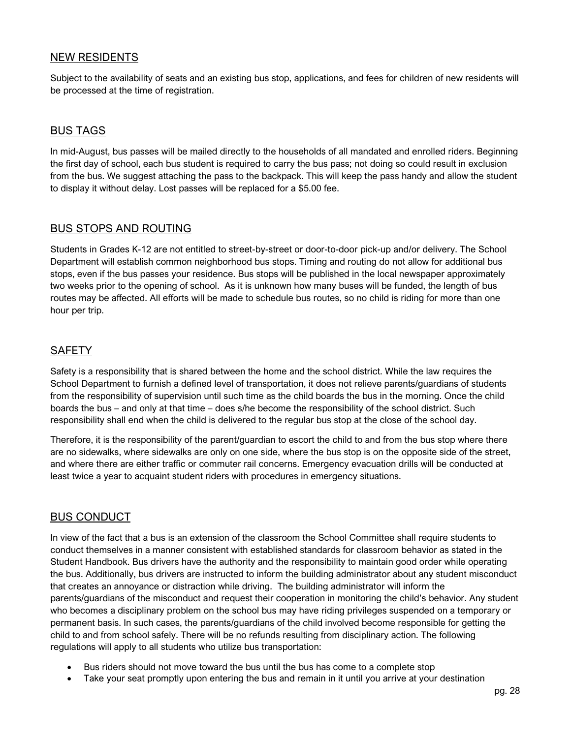# NEW RESIDENTS

Subject to the availability of seats and an existing bus stop, applications, and fees for children of new residents will be processed at the time of registration.

### BUS TAGS

In mid-August, bus passes will be mailed directly to the households of all mandated and enrolled riders. Beginning the first day of school, each bus student is required to carry the bus pass; not doing so could result in exclusion from the bus. We suggest attaching the pass to the backpack. This will keep the pass handy and allow the student to display it without delay. Lost passes will be replaced for a \$5.00 fee.

# BUS STOPS AND ROUTING

Students in Grades K-12 are not entitled to street-by-street or door-to-door pick-up and/or delivery. The School Department will establish common neighborhood bus stops. Timing and routing do not allow for additional bus stops, even if the bus passes your residence. Bus stops will be published in the local newspaper approximately two weeks prior to the opening of school. As it is unknown how many buses will be funded, the length of bus routes may be affected. All efforts will be made to schedule bus routes, so no child is riding for more than one hour per trip.

# **SAFETY**

Safety is a responsibility that is shared between the home and the school district. While the law requires the School Department to furnish a defined level of transportation, it does not relieve parents/guardians of students from the responsibility of supervision until such time as the child boards the bus in the morning. Once the child boards the bus – and only at that time – does s/he become the responsibility of the school district. Such responsibility shall end when the child is delivered to the regular bus stop at the close of the school day.

Therefore, it is the responsibility of the parent/guardian to escort the child to and from the bus stop where there are no sidewalks, where sidewalks are only on one side, where the bus stop is on the opposite side of the street, and where there are either traffic or commuter rail concerns. Emergency evacuation drills will be conducted at least twice a year to acquaint student riders with procedures in emergency situations.

# BUS CONDUCT

In view of the fact that a bus is an extension of the classroom the School Committee shall require students to conduct themselves in a manner consistent with established standards for classroom behavior as stated in the Student Handbook. Bus drivers have the authority and the responsibility to maintain good order while operating the bus. Additionally, bus drivers are instructed to inform the building administrator about any student misconduct that creates an annoyance or distraction while driving. The building administrator will inform the parents/guardians of the misconduct and request their cooperation in monitoring the child's behavior. Any student who becomes a disciplinary problem on the school bus may have riding privileges suspended on a temporary or permanent basis. In such cases, the parents/guardians of the child involved become responsible for getting the child to and from school safely. There will be no refunds resulting from disciplinary action. The following regulations will apply to all students who utilize bus transportation:

- Bus riders should not move toward the bus until the bus has come to a complete stop
- Take your seat promptly upon entering the bus and remain in it until you arrive at your destination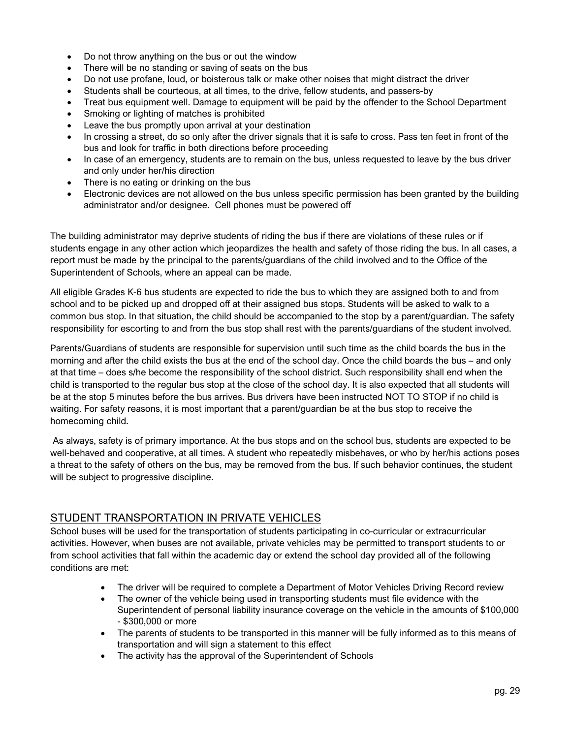- Do not throw anything on the bus or out the window
- There will be no standing or saving of seats on the bus
- Do not use profane, loud, or boisterous talk or make other noises that might distract the driver
- Students shall be courteous, at all times, to the drive, fellow students, and passers-by
- Treat bus equipment well. Damage to equipment will be paid by the offender to the School Department
- Smoking or lighting of matches is prohibited
- Leave the bus promptly upon arrival at your destination
- In crossing a street, do so only after the driver signals that it is safe to cross. Pass ten feet in front of the bus and look for traffic in both directions before proceeding
- In case of an emergency, students are to remain on the bus, unless requested to leave by the bus driver and only under her/his direction
- There is no eating or drinking on the bus
- Electronic devices are not allowed on the bus unless specific permission has been granted by the building administrator and/or designee. Cell phones must be powered off

The building administrator may deprive students of riding the bus if there are violations of these rules or if students engage in any other action which jeopardizes the health and safety of those riding the bus. In all cases, a report must be made by the principal to the parents/guardians of the child involved and to the Office of the Superintendent of Schools, where an appeal can be made.

All eligible Grades K-6 bus students are expected to ride the bus to which they are assigned both to and from school and to be picked up and dropped off at their assigned bus stops. Students will be asked to walk to a common bus stop. In that situation, the child should be accompanied to the stop by a parent/guardian. The safety responsibility for escorting to and from the bus stop shall rest with the parents/guardians of the student involved.

Parents/Guardians of students are responsible for supervision until such time as the child boards the bus in the morning and after the child exists the bus at the end of the school day. Once the child boards the bus – and only at that time – does s/he become the responsibility of the school district. Such responsibility shall end when the child is transported to the regular bus stop at the close of the school day. It is also expected that all students will be at the stop 5 minutes before the bus arrives. Bus drivers have been instructed NOT TO STOP if no child is waiting. For safety reasons, it is most important that a parent/guardian be at the bus stop to receive the homecoming child.

As always, safety is of primary importance. At the bus stops and on the school bus, students are expected to be well-behaved and cooperative, at all times. A student who repeatedly misbehaves, or who by her/his actions poses a threat to the safety of others on the bus, may be removed from the bus. If such behavior continues, the student will be subject to progressive discipline.

# STUDENT TRANSPORTATION IN PRIVATE VEHICLES

School buses will be used for the transportation of students participating in co-curricular or extracurricular activities. However, when buses are not available, private vehicles may be permitted to transport students to or from school activities that fall within the academic day or extend the school day provided all of the following conditions are met:

- The driver will be required to complete a Department of Motor Vehicles Driving Record review
- The owner of the vehicle being used in transporting students must file evidence with the Superintendent of personal liability insurance coverage on the vehicle in the amounts of \$100,000 - \$300,000 or more
- The parents of students to be transported in this manner will be fully informed as to this means of transportation and will sign a statement to this effect
- The activity has the approval of the Superintendent of Schools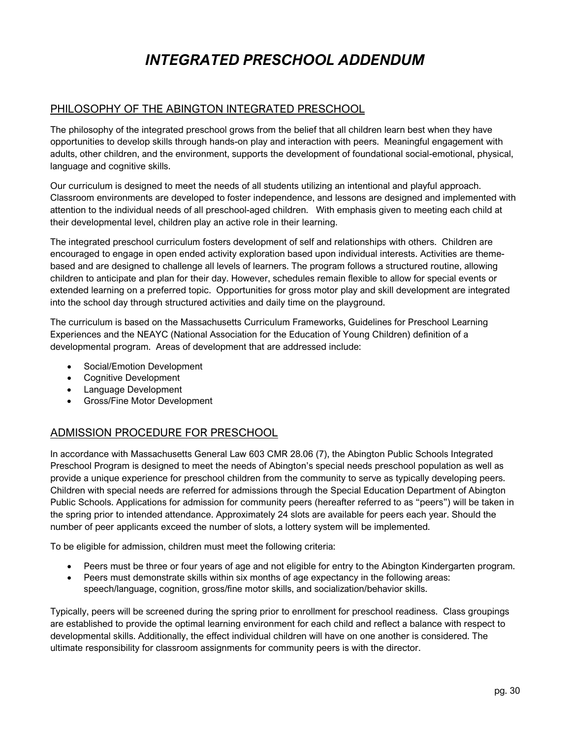# *INTEGRATED PRESCHOOL ADDENDUM*

### <span id="page-30-0"></span>PHILOSOPHY OF THE ABINGTON INTEGRATED PRESCHOOL

The philosophy of the integrated preschool grows from the belief that all children learn best when they have opportunities to develop skills through hands-on play and interaction with peers. Meaningful engagement with adults, other children, and the environment, supports the development of foundational social-emotional, physical, language and cognitive skills.

Our curriculum is designed to meet the needs of all students utilizing an intentional and playful approach. Classroom environments are developed to foster independence, and lessons are designed and implemented with attention to the individual needs of all preschool-aged children. With emphasis given to meeting each child at their developmental level, children play an active role in their learning.

The integrated preschool curriculum fosters development of self and relationships with others. Children are encouraged to engage in open ended activity exploration based upon individual interests. Activities are themebased and are designed to challenge all levels of learners. The program follows a structured routine, allowing children to anticipate and plan for their day. However, schedules remain flexible to allow for special events or extended learning on a preferred topic. Opportunities for gross motor play and skill development are integrated into the school day through structured activities and daily time on the playground.

The curriculum is based on the Massachusetts Curriculum Frameworks, Guidelines for Preschool Learning Experiences and the NEAYC (National Association for the Education of Young Children) definition of a developmental program. Areas of development that are addressed include:

- Social/Emotion Development
- Cognitive Development
- Language Development
- Gross/Fine Motor Development

# ADMISSION PROCEDURE FOR PRESCHOOL

In accordance with Massachusetts General Law 603 CMR 28.06 (7), the Abington Public Schools Integrated Preschool Program is designed to meet the needs of Abington's special needs preschool population as well as provide a unique experience for preschool children from the community to serve as typically developing peers. Children with special needs are referred for admissions through the Special Education Department of Abington Public Schools. Applications for admission for community peers (hereafter referred to as "peers") will be taken in the spring prior to intended attendance. Approximately 24 slots are available for peers each year. Should the number of peer applicants exceed the number of slots, a lottery system will be implemented.

To be eligible for admission, children must meet the following criteria:

- Peers must be three or four years of age and not eligible for entry to the Abington Kindergarten program.
- Peers must demonstrate skills within six months of age expectancy in the following areas: speech/language, cognition, gross/fine motor skills, and socialization/behavior skills.

Typically, peers will be screened during the spring prior to enrollment for preschool readiness. Class groupings are established to provide the optimal learning environment for each child and reflect a balance with respect to developmental skills. Additionally, the effect individual children will have on one another is considered. The ultimate responsibility for classroom assignments for community peers is with the director.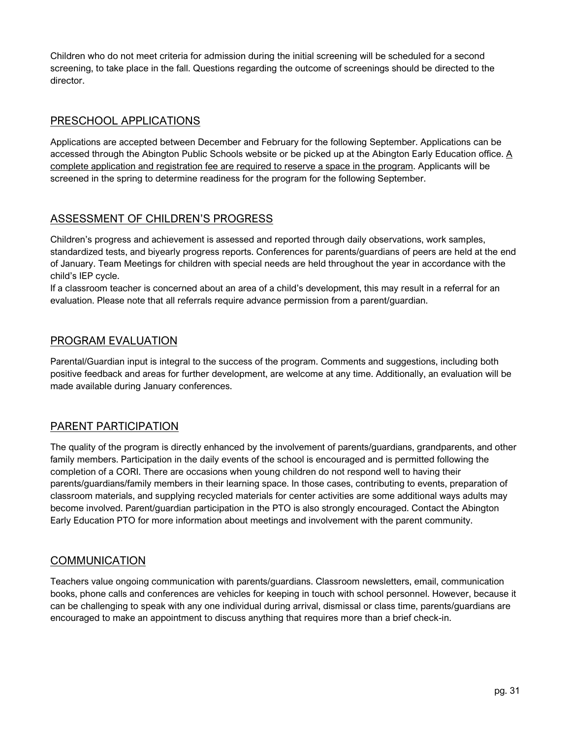Children who do not meet criteria for admission during the initial screening will be scheduled for a second screening, to take place in the fall. Questions regarding the outcome of screenings should be directed to the director.

# PRESCHOOL APPLICATIONS

Applications are accepted between December and February for the following September. Applications can be accessed through the Abington Public Schools website or be picked up at the Abington Early Education office. A complete application and registration fee are required to reserve a space in the program. Applicants will be screened in the spring to determine readiness for the program for the following September.

# ASSESSMENT OF CHILDREN'S PROGRESS

Children's progress and achievement is assessed and reported through daily observations, work samples, standardized tests, and biyearly progress reports. Conferences for parents/guardians of peers are held at the end of January. Team Meetings for children with special needs are held throughout the year in accordance with the child's IEP cycle.

If a classroom teacher is concerned about an area of a child's development, this may result in a referral for an evaluation. Please note that all referrals require advance permission from a parent/guardian.

# PROGRAM EVALUATION

Parental/Guardian input is integral to the success of the program. Comments and suggestions, including both positive feedback and areas for further development, are welcome at any time. Additionally, an evaluation will be made available during January conferences.

# PARENT PARTICIPATION

The quality of the program is directly enhanced by the involvement of parents/guardians, grandparents, and other family members. Participation in the daily events of the school is encouraged and is permitted following the completion of a CORI. There are occasions when young children do not respond well to having their parents/guardians/family members in their learning space. In those cases, contributing to events, preparation of classroom materials, and supplying recycled materials for center activities are some additional ways adults may become involved. Parent/guardian participation in the PTO is also strongly encouraged. Contact the Abington Early Education PTO for more information about meetings and involvement with the parent community.

# **COMMUNICATION**

Teachers value ongoing communication with parents/guardians. Classroom newsletters, email, communication books, phone calls and conferences are vehicles for keeping in touch with school personnel. However, because it can be challenging to speak with any one individual during arrival, dismissal or class time, parents/guardians are encouraged to make an appointment to discuss anything that requires more than a brief check-in.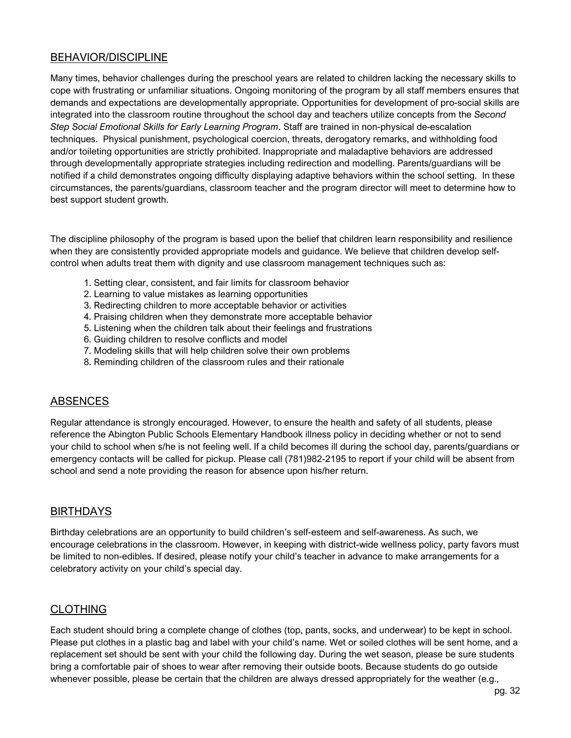# BEHAVIOR/DISCIPLINE

Many times, behavior challenges during the preschool years are related to children lacking the necessary skills to cope with frustrating or unfamiliar situations. Ongoing monitoring of the program by all staff members ensures that demands and expectations are developmentally appropriate. Opportunities for development of pro-social skills are integrated into the classroom routine throughout the school day and teachers utilize concepts from the *Second Step Social Emotional Skills for Early Learning Program*. Staff are trained in non-physical de-escalation techniques. Physical punishment, psychological coercion, threats, derogatory remarks, and withholding food and/or toileting opportunities are strictly prohibited. Inappropriate and maladaptive behaviors are addressed through developmentally appropriate strategies including redirection and modelling. Parents/guardians will be notified if a child demonstrates ongoing difficulty displaying adaptive behaviors within the school setting. In these circumstances, the parents/guardians, classroom teacher and the program director will meet to determine how to best support student growth.

The discipline philosophy of the program is based upon the belief that children learn responsibility and resilience when they are consistently provided appropriate models and guidance. We believe that children develop selfcontrol when adults treat them with dignity and use classroom management techniques such as:

- 1. Setting clear, consistent, and fair limits for classroom behavior
- 2. Learning to value mistakes as learning opportunities
- 3. Redirecting children to more acceptable behavior or activities
- 4. Praising children when they demonstrate more acceptable behavior
- 5. Listening when the children talk about their feelings and frustrations
- 6. Guiding children to resolve conflicts and model
- 7. Modeling skills that will help children solve their own problems
- 8. Reminding children of the classroom rules and their rationale

# ABSENCES

Regular attendance is strongly encouraged. However, to ensure the health and safety of all students, please reference the Abington Public Schools Elementary Handbook illness policy in deciding whether or not to send your child to school when s/he is not feeling well. If a child becomes ill during the school day, parents/guardians or emergency contacts will be called for pickup. Please call (781)982-2195 to report if your child will be absent from school and send a note providing the reason for absence upon his/her return.

# BIRTHDAYS

Birthday celebrations are an opportunity to build children's self-esteem and self-awareness. As such, we encourage celebrations in the classroom. However, in keeping with district-wide wellness policy, party favors must be limited to non-edibles. If desired, please notify your child's teacher in advance to make arrangements for a celebratory activity on your child's special day.

# CLOTHING

Each student should bring a complete change of clothes (top, pants, socks, and underwear) to be kept in school. Please put clothes in a plastic bag and label with your child's name. Wet or soiled clothes will be sent home, and a replacement set should be sent with your child the following day. During the wet season, please be sure students bring a comfortable pair of shoes to wear after removing their outside boots. Because students do go outside whenever possible, please be certain that the children are always dressed appropriately for the weather (e.g.,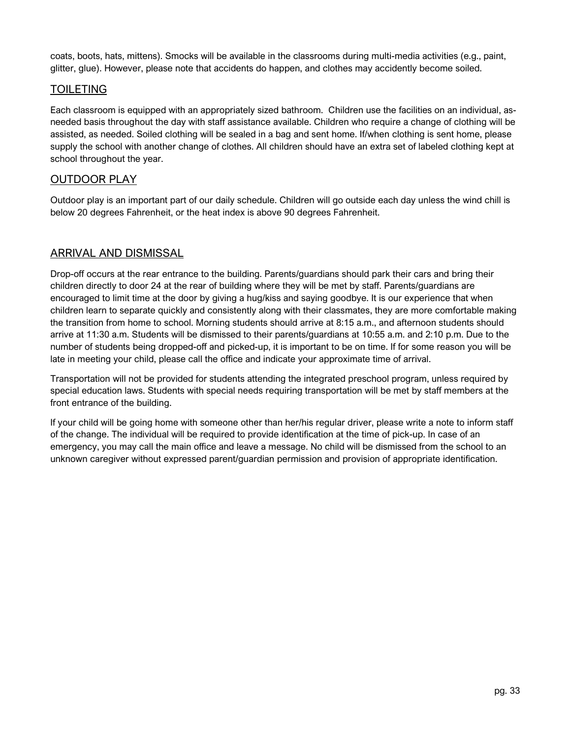coats, boots, hats, mittens). Smocks will be available in the classrooms during multi-media activities (e.g., paint, glitter, glue). However, please note that accidents do happen, and clothes may accidently become soiled.

# TOILETING

Each classroom is equipped with an appropriately sized bathroom. Children use the facilities on an individual, asneeded basis throughout the day with staff assistance available. Children who require a change of clothing will be assisted, as needed. Soiled clothing will be sealed in a bag and sent home. If/when clothing is sent home, please supply the school with another change of clothes. All children should have an extra set of labeled clothing kept at school throughout the year.

# OUTDOOR PLAY

Outdoor play is an important part of our daily schedule. Children will go outside each day unless the wind chill is below 20 degrees Fahrenheit, or the heat index is above 90 degrees Fahrenheit.

# ARRIVAL AND DISMISSAL

Drop-off occurs at the rear entrance to the building. Parents/guardians should park their cars and bring their children directly to door 24 at the rear of building where they will be met by staff. Parents/guardians are encouraged to limit time at the door by giving a hug/kiss and saying goodbye. It is our experience that when children learn to separate quickly and consistently along with their classmates, they are more comfortable making the transition from home to school. Morning students should arrive at 8:15 a.m., and afternoon students should arrive at 11:30 a.m. Students will be dismissed to their parents/guardians at 10:55 a.m. and 2:10 p.m. Due to the number of students being dropped-off and picked-up, it is important to be on time. If for some reason you will be late in meeting your child, please call the office and indicate your approximate time of arrival.

Transportation will not be provided for students attending the integrated preschool program, unless required by special education laws. Students with special needs requiring transportation will be met by staff members at the front entrance of the building.

If your child will be going home with someone other than her/his regular driver, please write a note to inform staff of the change. The individual will be required to provide identification at the time of pick-up. In case of an emergency, you may call the main office and leave a message. No child will be dismissed from the school to an unknown caregiver without expressed parent/guardian permission and provision of appropriate identification.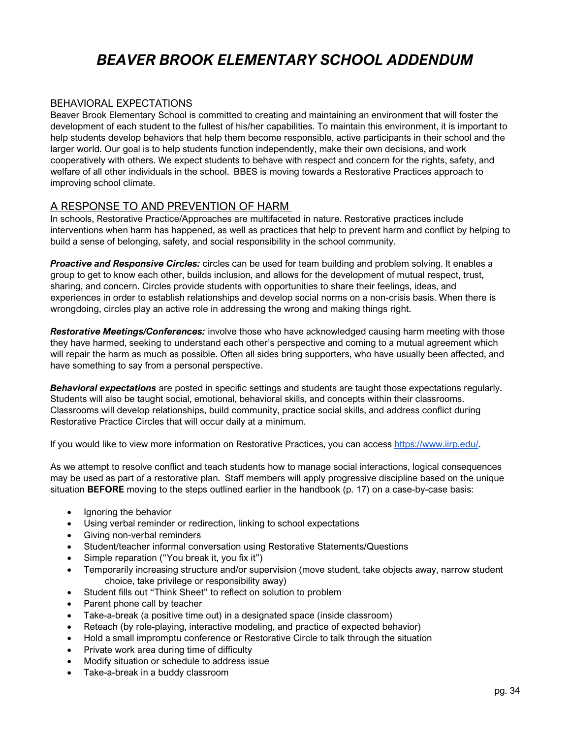# *BEAVER BROOK ELEMENTARY SCHOOL ADDENDUM*

#### <span id="page-34-0"></span>BEHAVIORAL EXPECTATIONS

Beaver Brook Elementary School is committed to creating and maintaining an environment that will foster the development of each student to the fullest of his/her capabilities. To maintain this environment, it is important to help students develop behaviors that help them become responsible, active participants in their school and the larger world. Our goal is to help students function independently, make their own decisions, and work cooperatively with others. We expect students to behave with respect and concern for the rights, safety, and welfare of all other individuals in the school. BBES is moving towards a Restorative Practices approach to improving school climate.

### A RESPONSE TO AND PREVENTION OF HARM

In schools, Restorative Practice/Approaches are multifaceted in nature. Restorative practices include interventions when harm has happened, as well as practices that help to prevent harm and conflict by helping to build a sense of belonging, safety, and social responsibility in the school community.

*Proactive and Responsive Circles:* circles can be used for team building and problem solving. It enables a group to get to know each other, builds inclusion, and allows for the development of mutual respect, trust, sharing, and concern. Circles provide students with opportunities to share their feelings, ideas, and experiences in order to establish relationships and develop social norms on a non-crisis basis. When there is wrongdoing, circles play an active role in addressing the wrong and making things right.

*Restorative Meetings/Conferences:* involve those who have acknowledged causing harm meeting with those they have harmed, seeking to understand each other's perspective and coming to a mutual agreement which will repair the harm as much as possible. Often all sides bring supporters, who have usually been affected, and have something to say from a personal perspective.

*Behavioral expectations* are posted in specific settings and students are taught those expectations regularly. Students will also be taught social, emotional, behavioral skills, and concepts within their classrooms. Classrooms will develop relationships, build community, practice social skills, and address conflict during Restorative Practice Circles that will occur daily at a minimum.

If you would like to view more information on Restorative Practices, you can access [https://www.iirp.edu/.](https://www.iirp.edu/)

As we attempt to resolve conflict and teach students how to manage social interactions, logical consequences may be used as part of a restorative plan. Staff members will apply progressive discipline based on the unique situation **BEFORE** moving to the steps outlined earlier in the handbook (p. 17) on a case-by-case basis:

- Ignoring the behavior
- Using verbal reminder or redirection, linking to school expectations
- Giving non-verbal reminders
- Student/teacher informal conversation using Restorative Statements/Questions
- Simple reparation ("You break it, you fix it")
- Temporarily increasing structure and/or supervision (move student, take objects away, narrow student choice, take privilege or responsibility away)
- Student fills out "Think Sheet" to reflect on solution to problem
- Parent phone call by teacher
- Take-a-break (a positive time out) in a designated space (inside classroom)
- Reteach (by role-playing, interactive modeling, and practice of expected behavior)
- Hold a small impromptu conference or Restorative Circle to talk through the situation
- Private work area during time of difficulty
- Modify situation or schedule to address issue
- Take-a-break in a buddy classroom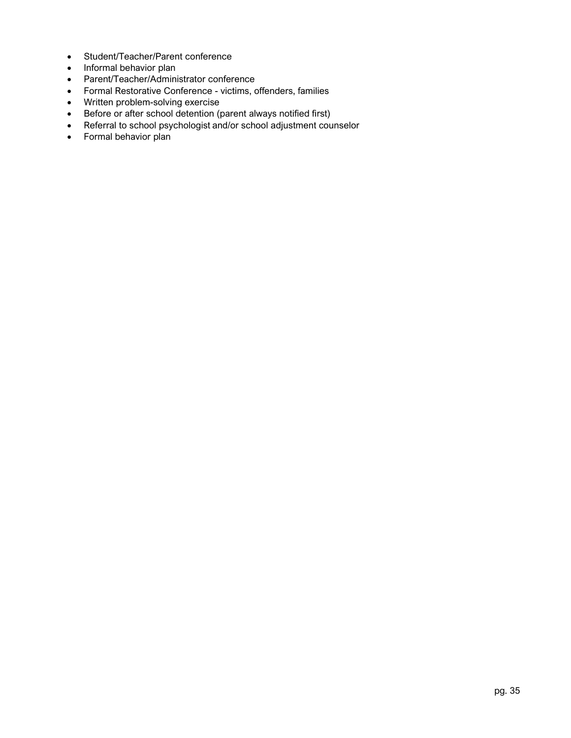- Student/Teacher/Parent conference
- Informal behavior plan
- Parent/Teacher/Administrator conference
- Formal Restorative Conference victims, offenders, families
- Written problem-solving exercise
- Before or after school detention (parent always notified first)
- Referral to school psychologist and/or school adjustment counselor
- Formal behavior plan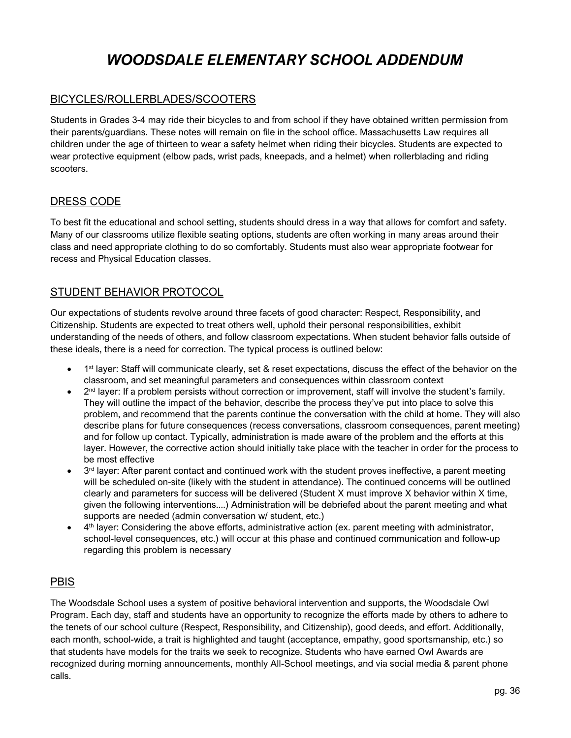# *WOODSDALE ELEMENTARY SCHOOL ADDENDUM*

# <span id="page-36-0"></span>BICYCLES/ROLLERBLADES/SCOOTERS

Students in Grades 3-4 may ride their bicycles to and from school if they have obtained written permission from their parents/guardians. These notes will remain on file in the school office. Massachusetts Law requires all children under the age of thirteen to wear a safety helmet when riding their bicycles. Students are expected to wear protective equipment (elbow pads, wrist pads, kneepads, and a helmet) when rollerblading and riding scooters.

# DRESS CODE

To best fit the educational and school setting, students should dress in a way that allows for comfort and safety. Many of our classrooms utilize flexible seating options, students are often working in many areas around their class and need appropriate clothing to do so comfortably. Students must also wear appropriate footwear for recess and Physical Education classes.

# STUDENT BEHAVIOR PROTOCOL

Our expectations of students revolve around three facets of good character: Respect, Responsibility, and Citizenship. Students are expected to treat others well, uphold their personal responsibilities, exhibit understanding of the needs of others, and follow classroom expectations. When student behavior falls outside of these ideals, there is a need for correction. The typical process is outlined below:

- 1<sup>st</sup> layer: Staff will communicate clearly, set & reset expectations, discuss the effect of the behavior on the classroom, and set meaningful parameters and consequences within classroom context
- $\bullet$   $2^{nd}$  layer: If a problem persists without correction or improvement, staff will involve the student's family. They will outline the impact of the behavior, describe the process they've put into place to solve this problem, and recommend that the parents continue the conversation with the child at home. They will also describe plans for future consequences (recess conversations, classroom consequences, parent meeting) and for follow up contact. Typically, administration is made aware of the problem and the efforts at this layer. However, the corrective action should initially take place with the teacher in order for the process to be most effective
- 3<sup>rd</sup> layer: After parent contact and continued work with the student proves ineffective, a parent meeting will be scheduled on-site (likely with the student in attendance). The continued concerns will be outlined clearly and parameters for success will be delivered (Student X must improve X behavior within X time, given the following interventions....) Administration will be debriefed about the parent meeting and what supports are needed (admin conversation w/ student, etc.)
- $\bullet$  4<sup>th</sup> layer: Considering the above efforts, administrative action (ex. parent meeting with administrator, school-level consequences, etc.) will occur at this phase and continued communication and follow-up regarding this problem is necessary

# PBIS

The Woodsdale School uses a system of positive behavioral intervention and supports, the Woodsdale Owl Program. Each day, staff and students have an opportunity to recognize the efforts made by others to adhere to the tenets of our school culture (Respect, Responsibility, and Citizenship), good deeds, and effort. Additionally, each month, school-wide, a trait is highlighted and taught (acceptance, empathy, good sportsmanship, etc.) so that students have models for the traits we seek to recognize. Students who have earned Owl Awards are recognized during morning announcements, monthly All-School meetings, and via social media & parent phone calls.